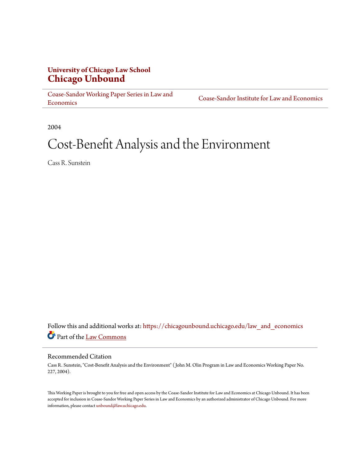# **University of Chicago Law School [Chicago Unbound](https://chicagounbound.uchicago.edu?utm_source=chicagounbound.uchicago.edu%2Flaw_and_economics%2F140&utm_medium=PDF&utm_campaign=PDFCoverPages)**

[Coase-Sandor Working Paper Series in Law and](https://chicagounbound.uchicago.edu/law_and_economics?utm_source=chicagounbound.uchicago.edu%2Flaw_and_economics%2F140&utm_medium=PDF&utm_campaign=PDFCoverPages) [Economics](https://chicagounbound.uchicago.edu/law_and_economics?utm_source=chicagounbound.uchicago.edu%2Flaw_and_economics%2F140&utm_medium=PDF&utm_campaign=PDFCoverPages)

[Coase-Sandor Institute for Law and Economics](https://chicagounbound.uchicago.edu/coase_sandor_institute?utm_source=chicagounbound.uchicago.edu%2Flaw_and_economics%2F140&utm_medium=PDF&utm_campaign=PDFCoverPages)

2004

# Cost-Benefit Analysis and the Environment

Cass R. Sunstein

Follow this and additional works at: [https://chicagounbound.uchicago.edu/law\\_and\\_economics](https://chicagounbound.uchicago.edu/law_and_economics?utm_source=chicagounbound.uchicago.edu%2Flaw_and_economics%2F140&utm_medium=PDF&utm_campaign=PDFCoverPages) Part of the [Law Commons](http://network.bepress.com/hgg/discipline/578?utm_source=chicagounbound.uchicago.edu%2Flaw_and_economics%2F140&utm_medium=PDF&utm_campaign=PDFCoverPages)

#### Recommended Citation

Cass R. Sunstein, "Cost-Benefit Analysis and the Environment" ( John M. Olin Program in Law and Economics Working Paper No. 227, 2004).

This Working Paper is brought to you for free and open access by the Coase-Sandor Institute for Law and Economics at Chicago Unbound. It has been accepted for inclusion in Coase-Sandor Working Paper Series in Law and Economics by an authorized administrator of Chicago Unbound. For more information, please contact [unbound@law.uchicago.edu.](mailto:unbound@law.uchicago.edu)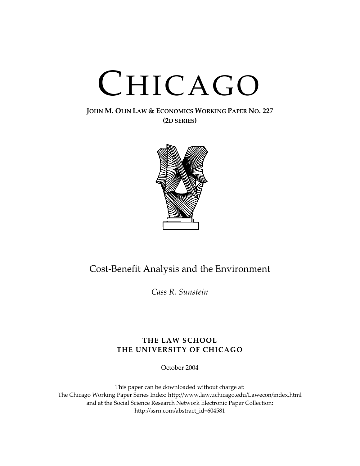# CHICAGO

### **JOHN M. OLIN LAW & ECONOMICS WORKING PAPER NO. 227 (2D SERIES)**



# Cost-Benefit Analysis and the Environment

*Cass R. Sunstein*

## **THE LAW SCHOOL THE UNIVERSITY OF CHICAGO**

October 2004

This paper can be downloaded without charge at: The Chicago Working Paper Series Index: http://www.law.uchicago.edu/Lawecon/index.html and at the Social Science Research Network Electronic Paper Collection: [http://ssrn.com/abstract\\_id=604581](http://www.law.uchicago.edu/Lawecon/index.html)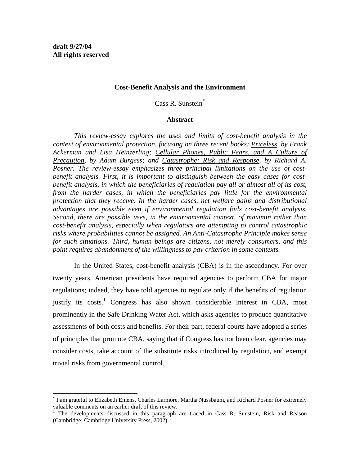1

#### **Cost-Benefit Analysis and the Environment**

Cass R. Sunstein<sup>\*</sup>

#### **Abstract**

 *This review-essay explores the uses and limits of cost-benefit analysis in the context of environmental protection, focusing on three recent books: Priceless, by Frank Ackerman and Lisa Heinzerling; Cellular Phones, Public Fears, and A Culture of Precaution, by Adam Burgess; and Catastrophe: Risk and Response, by Richard A. Posner. The review-essay emphasizes three principal limitations on the use of costbenefit analysis. First, it is important to distinguish between the easy cases for costbenefit analysis, in which the beneficiaries of regulation pay all or almost all of its cost, from the harder cases, in which the beneficiaries pay little for the environmental protection that they receive. In the harder cases, net welfare gains and distributional advantages are possible even if environmental regulation fails cost-benefit analysis. Second, there are possible uses, in the environmental context, of maximin rather than cost-benefit analysis, especially when regulators are attempting to control catastrophic risks where probabilities cannot be assigned. An Anti-Catastrophe Principle makes sense for such situations. Third, human beings are citizens, not merely consumers, and this point requires abandonment of the willingness to pay criterion in some contexts.* 

In the United States, cost-benefit analysis (CBA) is in the ascendancy. For over twenty years, American presidents have required agencies to perform CBA for major regulations; indeed, they have told agencies to regulate only if the benefits of regulation justify its costs.<sup>[1](#page-2-1)</sup> Congress has also shown considerable interest in CBA, most prominently in the Safe Drinking Water Act, which asks agencies to produce quantitative assessments of both costs and benefits. For their part, federal courts have adopted a series of principles that promote CBA, saying that if Congress has not been clear, agencies may consider costs, take account of the substitute risks introduced by regulation, and exempt trivial risks from governmental control.

<span id="page-2-0"></span><sup>\*</sup> I am grateful to Elizabeth Emens, Charles Larmore, Martha Nussbaum, and Richard Posner for extremely valuable comments on an earlier draft of this review.

<span id="page-2-1"></span><sup>&</sup>lt;sup>1</sup> The developments discussed in this paragraph are traced in Cass R. Sunstein, Risk and Reason (Cambridge: Cambridge University Press, 2002).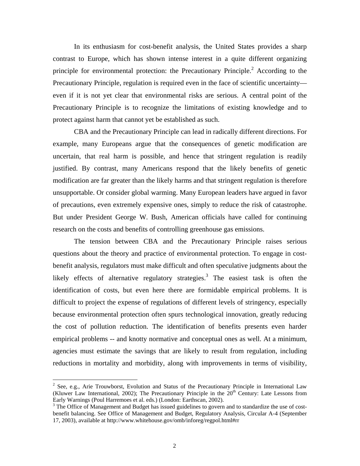In its enthusiasm for cost-benefit analysis, the United States provides a sharp contrast to Europe, which has shown intense interest in a quite different organizing principle for environmental protection: the Precautionary Principle.<sup>[2](#page-3-0)</sup> According to the Precautionary Principle, regulation is required even in the face of scientific uncertaintyeven if it is not yet clear that environmental risks are serious. A central point of the Precautionary Principle is to recognize the limitations of existing knowledge and to protect against harm that cannot yet be established as such.

CBA and the Precautionary Principle can lead in radically different directions. For example, many Europeans argue that the consequences of genetic modification are uncertain, that real harm is possible, and hence that stringent regulation is readily justified. By contrast, many Americans respond that the likely benefits of genetic modification are far greater than the likely harms and that stringent regulation is therefore unsupportable. Or consider global warming. Many European leaders have argued in favor of precautions, even extremely expensive ones, simply to reduce the risk of catastrophe. But under President George W. Bush, American officials have called for continuing research on the costs and benefits of controlling greenhouse gas emissions.

questions about the theory and practice of environmental protection. To engage in costbenefit analysis, regulators must make difficult and often speculative judgments about the reductions in mortality and morbidity, along with improvements in terms of visibility, The tension between CBA and the Precautionary Principle raises serious likely effects of alternative regulatory strategies.<sup>3</sup> The easiest task is often the identification of costs, but even here there are formidable empirical problems. It is difficult to project the expense of regulations of different levels of stringency, especially because environmental protection often spurs technological innovation, greatly reducing the cost of pollution reduction. The identification of benefits presents even harder empirical problems -- and knotty normative and conceptual ones as well. At a minimum, agencies must estimate the savings that are likely to result from regulation, including

<span id="page-3-0"></span><sup>&</sup>lt;sup>2</sup> See, e.g., Arie Trouwborst, Evolution and Status of the Precautionary Principle in International Law (Kluwer Law International, 2002); The Precautionary Principle in the  $20<sup>th</sup>$  Century: Late Lessons from Early Warnings (Poul Harremoes et al. eds.) (London: Earthscan, 2002).<br><sup>3</sup> The Office of Management and Budget has issued guidelines to govern and to standardize the use of cost-

<span id="page-3-1"></span><sup>17, 2003),</sup> available at http://www.whitehouse.gov/omb/inforeg/regpol.html#rr benefit balancing. See Office of Management and Budget, Regulatory Analysis, Circular A-4 (September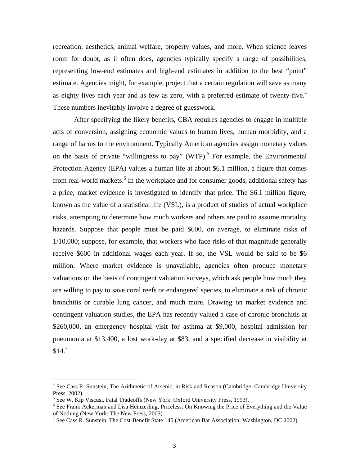recreati on, aesthetics, animal welfare, property values, and more. When science leaves room for doubt, as it often does, agencies typically specify a range of possibilities, representing low-end estimates and high-end estimates in addition to the best "point" estimate. Agencies might, for example, project that a certain regulation will save as many as eighty lives each year and as few as zero, with a preferred estimate of twenty-five.<sup>4</sup> These numbers inevitably involve a degree of guesswork.

After specifying the likely benefits, CBA requires agencies to engage in multiple acts of conversion, assigning economic values to human lives, human morbidity, and a 1/10,00 0; suppose, for example, that workers who face risks of that magnitude generally range of harms to the environment. Typically American agencies assign monetary values on the basis of private "willingness to pay" (WTP).<sup>5</sup> For example, the Environmental Protection Agency (EPA) values a human life at about \$6.1 million, a figure that comes from real-world markets.<sup>[6](#page-4-2)</sup> In the workplace and for consumer goods, additional safety has a price; market evidence is investigated to identify that price. The \$6.1 million figure, known as the value of a statistical life (VSL), is a product of studies of actual workplace risks, attempting to determine how much workers and others are paid to assume mortality hazards. Suppose that people must be paid \$600, on average, to eliminate risks of receive \$600 in additional wages each year. If so, the VSL would be said to be \$6 million. Where market evidence is unavailable, agencies often produce monetary valuations on the basis of contingent valuation surveys, which ask people how much they are willing to pay to save coral reefs or endangered species, to eliminate a risk of chronic bronchitis or curable lung cancer, and much more. Drawing on market evidence and contingent valuation studies, the EPA has recently valued a case of chronic bronchitis at \$260,000, an emergency hospital visit for asthma at \$9,000, hospital admission for pneumonia at \$13,400, a lost work-day at \$83, and a specified decrease in visibility at  $$14<sup>7</sup>$ 

<span id="page-4-0"></span><sup>&</sup>lt;sup>4</sup> See Cass R. Sunstein, The Arithmetic of Arsenic, in Risk and Reason (Cambridge: Cambridge University Press, 2002).

<span id="page-4-1"></span><sup>&</sup>lt;sup>5</sup> See W. Kip Viscusi, Fatal Tradeoffs (New York: Oxford University Press, 1993).<br><sup>6</sup> See Frank Askarmen and Lise Heinzarling, Prieslass: On Knowing the Price of E

<span id="page-4-2"></span><sup>&</sup>lt;sup>6</sup> See Frank Ackerman and Lisa Heinzerling, Priceless: On Knowing the Price of Everything and the Value of Nothing (New York: The New Press, 2003).

<span id="page-4-3"></span>See Cass R. Sunstein, The Cost-Benefit State 145 (American Bar Association: Washington, DC 2002).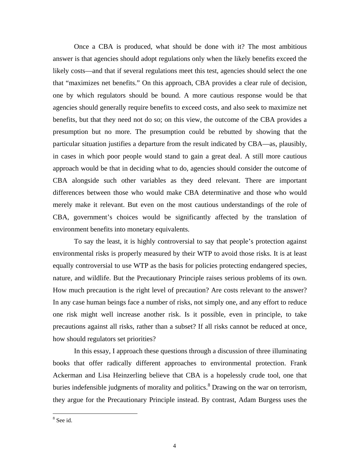Once a CBA is produced, what should be done with it? The most ambitious answer is that agencies should adopt regulations only when the likely benefits exceed the likely costs—and that if several regulations meet this test, agencies should select the one that "maximizes net benefits." On this approach, CBA provides a clear rule of decision, one by which regulators should be bound. A more cautious response would be that agencies should generally require benefits to exceed costs, and also seek to maximize net benefit s, but that they need not do so; on this view, the outcome of the CBA provides a presumption but no more. The presumption could be rebutted by showing that the particular situation justifies a departure from the result indicated by CBA—as, plausibly, in cases in which poor people would stand to gain a great deal. A still more cautious approach would be that in deciding what to do, agencies should consider the outcome of CBA alongside such other variables as they deed relevant. There are important differences between those who would make CBA determinative and those who would merely make it relevant. But even on the most cautious understandings of the role of CBA, government's choices would be significantly affected by the translation of environment benefits into monetary equivalents.

To say the least, it is highly controversial to say that people's protection against environmental risks is properly measured by their WTP to avoid those risks. It is at least equally controversial to use WTP as the basis for policies protecting endangered species, nature, and wildlife. But the Precautionary Principle raises serious problems of its own. How much precaution is the right level of precaution? Are costs relevant to the answer? In any case human beings face a number of risks, not simply one, and any effort to reduce one risk might well increase another risk. Is it possible, even in principle, to take precautions against all risks, rather than a subset? If all risks cannot be reduced at once, how should regulators set priorities?

In this essay, I approach these questions through a discussion of three illuminating books that offer radically different approaches to environmental protection. Frank Ackerman and Lisa Heinzerling believe that CBA is a hopelessly crude tool, one that they argue for the Precautionary Principle instead. By contrast, Adam Burgess uses the buries indefensible judgments of morality and politics.<sup>[8](#page-5-0)</sup> Drawing on the war on terrorism,

<span id="page-5-0"></span> $8$  See id.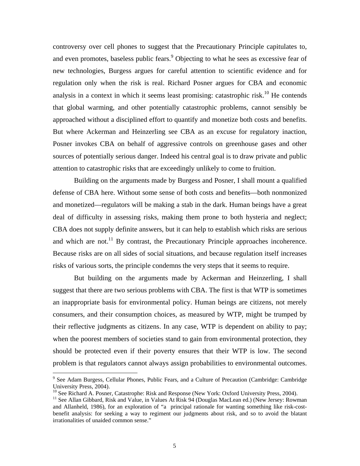controv ersy over cell phones to suggest that the Precautionary Principle capitulates to, and even promotes, baseless public fears.<sup>[9](#page-6-0)</sup> Objecting to what he sees as excessive fear of new technologies, Burgess argues for careful attention to scientific evidence and for regulation only when the risk is real. Richard Posner argues for CBA and economic analysis in a context in which it seems least promising: catastrophic risk.<sup>10</sup> He contends that global warming, and other potentially catastrophic problems, cannot sensibly be approached without a disciplined effort to quantify and monetize both costs and benefits. But where Ackerman and Heinzerling see CBA as an excuse for regulatory inaction, Posner invokes CBA on behalf of aggressive controls on greenhouse gases and other sources of potentially serious danger. Indeed his central goal is to draw private and public attention to catastrophic risks that are exceedingly unlikely to come to fruition.

and which are not.<sup>11</sup> By contrast, the Precautionary Principle approaches incoherence. Building on the arguments made by Burgess and Posner, I shall mount a qualified defense of CBA here. Without some sense of both costs and benefits—both nonmonized and monetized—regulators will be making a stab in the dark. Human beings have a great deal of difficulty in assessing risks, making them prone to both hysteria and neglect; CBA does not supply definite answers, but it can help to establish which risks are serious Because risks are on all sides of social situations, and because regulation itself increases risks of various sorts, the principle condemns the very steps that it seems to require.

when the poorest members of societies stand to gain from environmental protection, they But building on the arguments made by Ackerman and Heinzerling, I shall suggest that there are two serious problems with CBA. The first is that WTP is sometimes an inappropriate basis for environmental policy. Human beings are citizens, not merely consumers, and their consumption choices, as measured by WTP, might be trumped by their reflective judgments as citizens. In any case, WTP is dependent on ability to pay; should be protected even if their poverty ensures that their WTP is low. The second problem is that regulators cannot always assign probabilities to environmental outcomes.

<span id="page-6-0"></span><sup>&</sup>lt;sup>9</sup> See Adam Burgess, Cellular Phones, Public Fears, and a Culture of Precaution (Cambridge: Cambridge University Press, 2004).<br><sup>10</sup> See Richard A. Posner, Catastrophe: Risk and Response (New York: Oxford University Press, 2004).<br><sup>11</sup> See Allan Gibbard, Risk and Value, in Values At Risk 94 (Douglas MacLean ed.) (New Jersey:

<span id="page-6-1"></span>

<span id="page-6-2"></span>and Allanheld, 1986), for an exploration of "a principal rationale for wanting something like risk-costbenefit analysis: for seeking a way to regiment our judgments about risk, and so to avoid the blatant irrationalities of unaided common sense."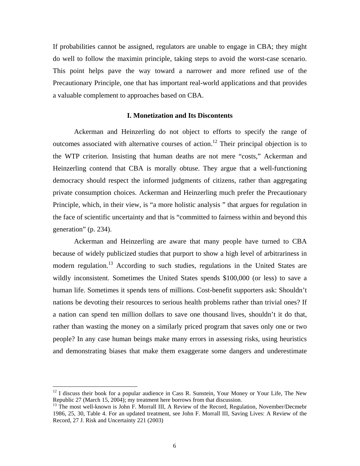If probabilities cannot be assigned, regulators are unable to engage in CBA; they might do well to follow the maximin principle, taking steps to avoid the worst-case scenario. This point helps pave the way toward a narrower and more refined use of the Precautionary Principle, one that has important real-world applications and that provides a valuable complement to approaches based on CBA.

#### **I. Monetization and Its Discontents**

Ackerman and Heinzerling do not object to efforts to specify the range of outcomes associated with alternative courses of action.<sup>12</sup> Their principal objection is to the WTP criterion. Insisting that human deaths are not mere "costs," Ackerman and Heinzerling contend that CBA is morally obtuse. They argue that a well-functioning democracy should respect the informed judgments of citizens, rather than aggregating private consumption choices. Ackerman and Heinzerling much prefer the Precautionary Principle, which, in their view, is "a more holistic analysis " that argues for regulation in the face of scientific uncertainty and that is "committed to fairness within and beyond this generation" (p. 234).

modern regulation.<sup>[13](#page-7-1)</sup> According to such studies, regulations in the United States are wildly inconsistent. Sometimes the United States spends \$100,000 (or less) to save a Ackerman and Heinzerling are aware that many people have turned to CBA because of widely publicized studies that purport to show a high level of arbitrariness in human life. Sometimes it spends tens of millions. Cost-benefit supporters ask: Shouldn't nations be devoting their resources to serious health problems rather than trivial ones? If a nation can spend ten million dollars to save one thousand lives, shouldn't it do that, rather than wasting the money on a similarly priced program that saves only one or two people? In any case human beings make many errors in assessing risks, using heuristics and demonstrating biases that make them exaggerate some dangers and underestimate

<span id="page-7-0"></span> $12$  I discuss their book for a popular audience in Cass R. Sunstein, Your Money or Your Life, The New Republic 27 (March 15, 2004); my treatment here borrows from that discussion.<br><sup>13</sup> The most well-known is John F. Morrall III, A Review of the Record, Regulation, November/Decmebr

<span id="page-7-1"></span>Record, 27 J. Risk and Uncertainty 221 (2003) 1986, 25, 30, Table 4. For an updated treatment, see John F. Morrall III, Saving Lives: A Review of the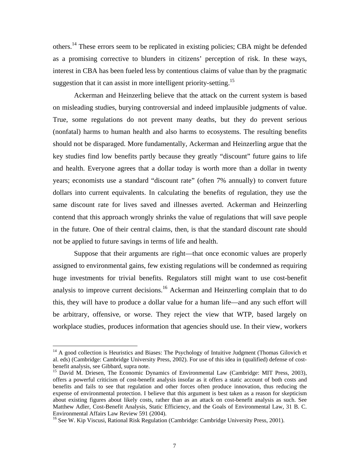others[.14](#page-8-0) These errors seem to be replicated in existing policies; CBA might be defended as a promising corrective to blunders in citizens' perception of risk. In these ways, interest in CBA has been fueled less by contentious claims of value than by the pragmatic suggestion that it can assist in more intelligent priority-setting.<sup>[15](#page-8-1)</sup>

Ackerman and Heinzerling believe that the attack on the current system is based on misleading studies, burying controversial and indeed implausible judgments of value. True, some regulations do not prevent many deaths, but they do prevent serious (nonfat al) harms to human health and also harms to ecosystems. The resulting benefits in the future. One of their central claims, then, is that the standard discount rate should should not be disparaged. More fundamentally, Ackerman and Heinzerling argue that the key studies find low benefits partly because they greatly "discount" future gains to life and health. Everyone agrees that a dollar today is worth more than a dollar in twenty years; economists use a standard "discount rate" (often 7% annually) to convert future dollars into current equivalents. In calculating the benefits of regulation, they use the same discount rate for lives saved and illnesses averted. Ackerman and Heinzerling contend that this approach wrongly shrinks the value of regulations that will save people not be applied to future savings in terms of life and health.

Suppose that their arguments are right—that once economic values are properly assigned to environmental gains, few existing regulations will be condemned as requiring huge investments for trivial benefits. Regulators still might want to use cost-benefit analysis to improve current decisions.<sup>16</sup> Ackerman and Heinzerling complain that to do this, they will have to produce a dollar value for a human life—and any such effort will be arbitrary, offensive, or worse. They reject the view that WTP, based largely on workplace studies, produces information that agencies should use. In their view, workers

<span id="page-8-0"></span> $14$  A good collection is Heuristics and Biases: The Psychology of Intuitive Judgment (Thomas Gilovich et al. eds) (Cambridge: Cambridge University Press, 2002). For use of this idea in (qualified) defense of costbenefit analysis, see Gibbard, supra note.<br><sup>15</sup> David M. Driesen, The Economic Dynamics of Environmental Law (Cambridge: MIT Press, 2003),

<span id="page-8-1"></span>offers a powerful criticism of cost-benefit analysis insofar as it offers a static account of both costs and benefits and fails to see that regulation and other forces often produce innovation, thus reducing the about existing figures about likely costs, rather than as an attack on cost-benefit analysis as such. See Environmental Affairs Law Review 591 (2004).<br><sup>16</sup> See W. Kip Viscusi, Rational Risk Regulation (Cambridge: Cambridge University Press, 2001). expense of environmental protection. I believe that this argument is best taken as a reason for skepticism Matthew Adler, Cost-Benefit Analysis, Static Efficiency, and the Goals of Environmental Law, 31 B. C.

<span id="page-8-2"></span>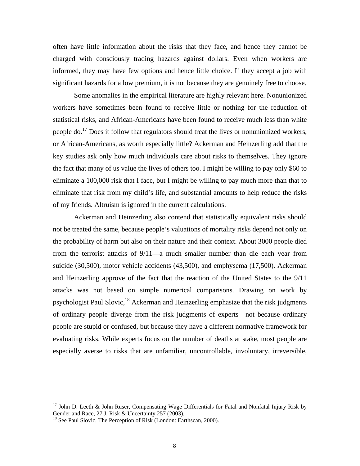often have little information about the risks that they face, and hence they cannot be charged with consciously trading hazards against dollars. Even when workers are informed, they may have few options and hence little choice. If they accept a job with significant hazards for a low premium, it is not because they are genuinely free to choose.

Some anomalies in the empirical literature are highly relevant here. Nonunionized workers have sometimes been found to receive little or nothing for the reduction of statistical risks, and African-Americans have been found to receive much less than white people do.<sup>17</sup> Does it follow that regulators should treat the lives or nonunionized workers, or African-Americans, as worth especially little? Ackerman and Heinzerling add that the key studies ask only how much individuals care about risks to themselves. They ignore the fact that many of us value the lives of others too. I might be willing to pay only \$60 to eliminate a 100,000 risk that I face, but I might be willing to pay much more than that to eliminate that risk from my child's life, and substantial amounts to help reduce the risks of my friends. Altruism is ignored in the current calculations.

the probability of harm but also on their nature and their context. About 3000 people died from the terrorist attacks of 9/11—a much smaller number than die each year from evaluating risks. While experts focus on the number of deaths at stake, most people are Ackerman and Heinzerling also contend that statistically equivalent risks should not be treated the same, because people's valuations of mortality risks depend not only on suicide (30,500), motor vehicle accidents (43,500), and emphysema (17,500). Ackerman and Heinzerling approve of the fact that the reaction of the United States to the 9/11 attacks was not based on simple numerical comparisons. Drawing on work by psychologist Paul Slovic[,18](#page-9-1) Ackerman and Heinzerling emphasize that the risk judgments of ordinary people diverge from the risk judgments of experts—not because ordinary people are stupid or confused, but because they have a different normative framework for especially averse to risks that are unfamiliar, uncontrollable, involuntary, irreversible,

<span id="page-9-0"></span><sup>&</sup>lt;sup>17</sup> John D. Leeth & John Ruser, Compensating Wage Differentials for Fatal and Nonfatal Injury Risk by Gender and Race, 27 J. Risk & Uncertainty 257 (2003).

<span id="page-9-1"></span> $^{18}$  See Paul Slovic, The Perception of Risk (London: Earthscan, 2000).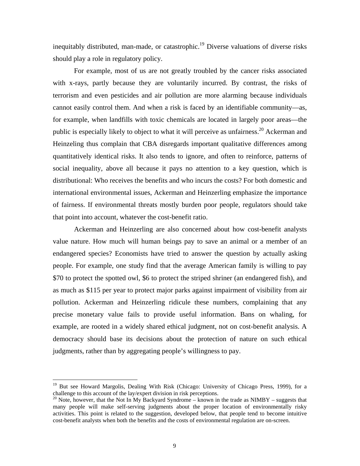inequitably distributed, man-made, or catastrophic.<sup>19</sup> Diverse valuations of diverse risks should play a role in regulatory policy.

For example, most of us are not greatly troubled by the cancer risks associated with x-rays, partly because they are voluntarily incurred. By contrast, the risks of terroris m and even pesticides and air pollution are more alarming because individuals of fairness. If environmental threats mostly burden poor people, regulators should take cannot easily control them. And when a risk is faced by an identifiable community—as, for example, when landfills with toxic chemicals are located in largely poor areas—the public is especially likely to object to what it will perceive as unfairness[.20](#page-10-1) Ackerman and Heinzeling thus complain that CBA disregards important qualitative differences among quantitatively identical risks. It also tends to ignore, and often to reinforce, patterns of social inequality, above all because it pays no attention to a key question, which is distributional: Who receives the benefits and who incurs the costs? For both domestic and international environmental issues, Ackerman and Heinzerling emphasize the importance that point into account, whatever the cost-benefit ratio.

Ackerman and Heinzerling are also concerned about how cost-benefit analysts value nature. How much will human beings pay to save an animal or a member of an endangered species? Economists have tried to answer the question by actually asking people. For example, one study find that the average American family is willing to pay \$70 to protect the spotted owl, \$6 to protect the striped shriner (an endangered fish), and as much as \$115 per year to protect major parks against impairment of visibility from air pollution. Ackerman and Heinzerling ridicule these numbers, complaining that any precise monetary value fails to provide useful information. Bans on whaling, for example, are rooted in a widely shared ethical judgment, not on cost-benefit analysis. A democracy should base its decisions about the protection of nature on such ethical judgments, rather than by aggregating people's willingness to pay.

1

<span id="page-10-0"></span><sup>&</sup>lt;sup>19</sup> But see Howard Margolis, Dealing With Risk (Chicago: University of Chicago Press, 1999), for a challenge to this account of the lay/expert division in risk perceptions.<br><sup>20</sup> Note, however, that the Not In My Backyard Syndrome – known in the trade as NIMBY – suggests that

<span id="page-10-1"></span>activities. This point is related to the suggestion, developed below, that people tend to become intuitive cost-benefit analysts when both the benefits and the costs of environmental regulation are on-screen. many people will make self-serving judgments about the proper location of environmentally risky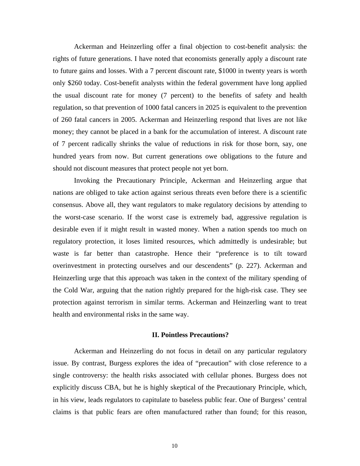Ackerman and Heinzerling offer a final objection to cost-benefit analysis: the rights of future generations. I have noted that economists generally apply a discount rate to futu re gains and losses. With a 7 percent discount rate, \$1000 in twenty years is worth only \$260 today. Cost-benefit analysts within the federal government have long applied the usual discount rate for money (7 percent) to the benefits of safety and health regulation, so that prevention of 1000 fatal cancers in 2025 is equivalent to the prevention of 260 fatal cancers in 2005. Ackerman and Heinzerling respond that lives are not like money; they cannot be placed in a bank for the accumulation of interest. A discount rate of 7 percent radically shrinks the value of reductions in risk for those born, say, one hundred years from now. But current generations owe obligations to the future and should not discount measures that protect people not yet born.

the worst-case scenario. If the worst case is extremely bad, aggressive regulation is Invoking the Precautionary Principle, Ackerman and Heinzerling argue that nations are obliged to take action against serious threats even before there is a scientific consensus. Above all, they want regulators to make regulatory decisions by attending to desirable even if it might result in wasted money. When a nation spends too much on regulatory protection, it loses limited resources, which admittedly is undesirable; but waste is far better than catastrophe. Hence their "preference is to tilt toward overinvestment in protecting ourselves and our descendents" (p. 227). Ackerman and Heinzerling urge that this approach was taken in the context of the military spending of the Cold War, arguing that the nation rightly prepared for the high-risk case. They see protection against terrorism in similar terms. Ackerman and Heinzerling want to treat health and environmental risks in the same way.

#### **II. Pointless Precautions?**

Ackerman and Heinzerling do not focus in detail on any particular regulatory issue. By contrast, Burgess explores the idea of "precaution" with close reference to a single controversy: the health risks associated with cellular phones. Burgess does not explicitly discuss CBA, but he is highly skeptical of the Precautionary Principle, which, in his view, leads regulators to capitulate to baseless public fear. One of Burgess' central claims is that public fears are often manufactured rather than found; for this reason,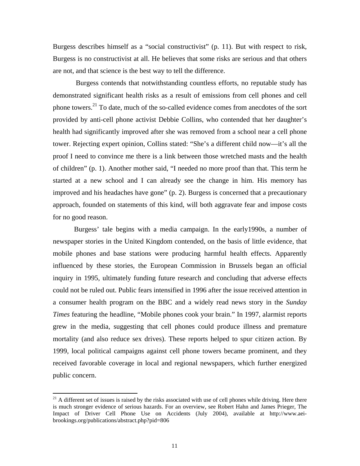Burges s describes himself as a "social constructivist" (p. 11). But with respect to risk, Burgess is no constructivist at all. He believes that some risks are serious and that others are not, and that science is the best way to tell the difference.

of children" (p. 1). Another mother said, "I needed no more proof than that. This term he Burgess contends that notwithstanding countless efforts, no reputable study has demonstrated significant health risks as a result of emissions from cell phones and cell phone towers.[21 T](#page-12-0)o date, much of the so-called evidence comes from anecdotes of the sort provided by anti-cell phone activist Debbie Collins, who contended that her daughter's health had significantly improved after she was removed from a school near a cell phone tower. Rejecting expert opinion, Collins stated: "She's a different child now—it's all the proof I need to convince me there is a link between those wretched masts and the health started at a new school and I can already see the change in him. His memory has improved and his headaches have gone" (p. 2). Burgess is concerned that a precautionary approach, founded on statements of this kind, will both aggravate fear and impose costs for no good reason.

Times featuring the headline, "Mobile phones cook your brain." In 1997, alarmist reports grew in the media, suggesting that cell phones could produce illness and premature mortality (and also reduce sex drives). These reports helped to spur citizen action. By 1999, l ocal political campaigns against cell phone towers became prominent, and they Burgess' tale begins with a media campaign. In the early1990s, a number of newspaper stories in the United Kingdom contended, on the basis of little evidence, that mobile phones and base stations were producing harmful health effects. Apparently influenced by these stories, the European Commission in Brussels began an official inquiry in 1995, ultimately funding future research and concluding that adverse effects could not be ruled out. Public fears intensified in 1996 after the issue received attention in a consumer health program on the BBC and a widely read news story in the *Sunday*  received favorable coverage in local and regional newspapers, which further energized public concern.

1

<span id="page-12-0"></span> $^{21}$  A different set of issues is raised by the risks associated with use of cell phones while driving. Here there is much stronger evidence of serious hazards. For an overview, see Robert Hahn and James Prieger, The Impact of Driver Cell Phone Use on Accidents (July 2004), available at http://www.aeibrookings.org/publications/abstract.php?pid=806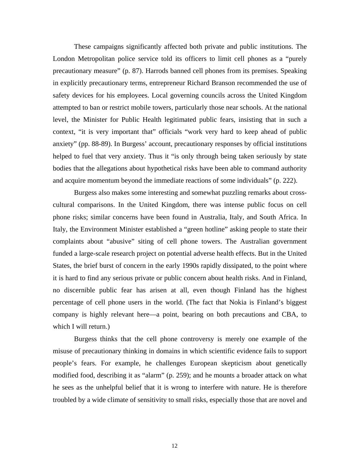These campaigns significantly affected both private and public institutions. The London Metropolitan police service told its officers to limit cell phones as a "purely precautionary measure" (p. 87). Harrods banned cell phones from its premises. Speaking in expl icitly precautionary terms, entrepreneur Richard Branson recommended the use of safety devices for his employees. Local governing councils across the United Kingdom attempted to ban or restrict mobile towers, particularly those near schools. At the national level, the Minister for Public Health legitimated public fears, insisting that in such a context, "it is very important that" officials "work very hard to keep ahead of public anxiety" (pp. 88-89). In Burgess' account, precautionary responses by official institutions helped to fuel that very anxiety. Thus it "is only through being taken seriously by state bodies that the allegations about hypothetical risks have been able to command authority and acquire momentum beyond the immediate reactions of some individuals" (p. 222).

phone risks; similar concerns have been found in Australia, Italy, and South Africa. In Italy, th e Environment Minister established a "green hotline" asking people to state their Burgess also makes some interesting and somewhat puzzling remarks about crosscultural comparisons. In the United Kingdom, there was intense public focus on cell complaints about "abusive" siting of cell phone towers. The Australian government funded a large-scale research project on potential adverse health effects. But in the United States, the brief burst of concern in the early 1990s rapidly dissipated, to the point where it is hard to find any serious private or public concern about health risks. And in Finland, no discernible public fear has arisen at all, even though Finland has the highest percentage of cell phone users in the world. (The fact that Nokia is Finland's biggest company is highly relevant here—a point, bearing on both precautions and CBA, to which I will return.)

modified food, describing it as "alarm" (p. 259); and he mounts a broader attack on what he sees as the unhelpful belief that it is wrong to interfere with nature. He is therefore Burgess thinks that the cell phone controversy is merely one example of the misuse of precautionary thinking in domains in which scientific evidence fails to support people's fears. For example, he challenges European skepticism about genetically troubled by a wide climate of sensitivity to small risks, especially those that are novel and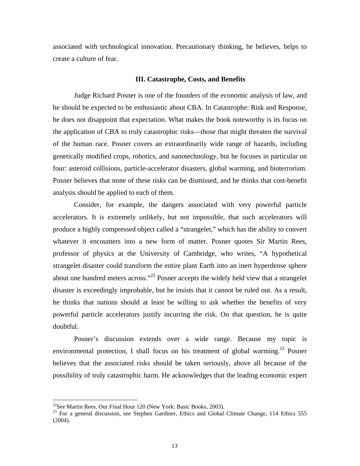associa ted with technological innovation. Precautionary thinking, he believes, helps to create a culture of fear.

#### **III. Catastrophe, Costs, and Benefits**

Posner believes that none of these risks can be dismissed, and he thinks that cost-benefit analysi s should be applied to each of them. Judge Richard Posner is one of the founders of the economic analysis of law, and he should be expected to be enthusiastic about CBA. In Catastrophe: Risk and Response, he does not disappoint that expectation. What makes the book noteworthy is its focus on the application of CBA to truly catastrophic risks—those that might threaten the survival of the human race. Posner covers an extraordinarily wide range of hazards, including genetically modified crops, robotics, and nanotechnology, but he focuses in particular on four: asteroid collisions, particle-accelerator disasters, global warming, and bioterrorism.

Consider, for example, the dangers associated with very powerful particle accelerators. It is extremely unlikely, but not impossible, that such accelerators will produce a highly compressed object called a "strangelet," which has the ability to convert whatever it encounters into a new form of matter. Posner quotes Sir Martin Rees, professor of physics at the University of Cambridge, who writes, "A hypothetical strangelet disaster could transform the entire plant Earth into an inert hyperdense sphere about one hundred meters across."<sup>22</sup> Posner accepts the widely held view that a strangelet disaster is exceedingly improbable, but he insists that it cannot be ruled out. As a result, he thinks that nations should at least be willing to ask whether the benefits of very powerful particle accelerators justify incurring the risk. On that question, he is quite doubtful.

Posner's discussion extends over a wide range. Because my topic is environmental protection, I shall focus on his treatment of global warming.<sup>23</sup> Posner believes that the associated risks should be taken seriously, above all because of the possibility of truly catastrophic harm. He acknowledges that the leading economic expert

<u>.</u>

<span id="page-14-1"></span><span id="page-14-0"></span>

<sup>&</sup>lt;sup>22</sup>See Martin Rees, Our Final Hour 120 (New York: Basic Books, 2003).<br><sup>23</sup> For a general discussion, see Stephen Gardiner, Ethics and Global Climate Change, 114 Ethics 555 (2004).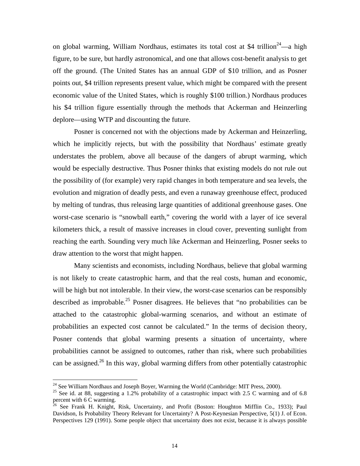<span id="page-15-2"></span>on global warming, William Nordhaus, estimates its total cost at \$4 trillion<sup>24</sup>—a high figure, to be sure, but hardly astronomical, and one that allows cost-benefit analysis to get off the ground. (The United States has an annual GDP of \$10 trillion, and as Posner points out, \$4 trillion represents present value, which might be compared with the present economic value of the United States, which is roughly \$100 trillion.) Nordhaus produces his \$4 trillion figure essentially through the methods that Ackerman and Heinzerling deplore—using WTP and discounting the future.

evolution and migration of deadly pests, and even a runaway greenhouse effect, produced by melting of tundras, thus releasing large quantities of additional greenhouse gases. One Posner is concerned not with the objections made by Ackerman and Heinzerling, which he implicitly rejects, but with the possibility that Nordhaus' estimate greatly understates the problem, above all because of the dangers of abrupt warming, which would be especially destructive. Thus Posner thinks that existing models do not rule out the possibility of (for example) very rapid changes in both temperature and sea levels, the worst-case scenario is "snowball earth," covering the world with a layer of ice several kilometers thick, a result of massive increases in cloud cover, preventing sunlight from reaching the earth. Sounding very much like Ackerman and Heinzerling, Posner seeks to draw attention to the worst that might happen.

probabilities an expected cost cannot be calculated." In the terms of decision theory, Many scientists and economists, including Nordhaus, believe that global warming is not likely to create catastrophic harm, and that the real costs, human and economic, will be high but not intolerable. In their view, the worst-case scenarios can be responsibly described as improbable.<sup>25</sup> Posner disagrees. He believes that "no probabilities can be attached to the catastrophic global-warming scenarios, and without an estimate of Posner contends that global warming presents a situation of uncertainty, where probabilities cannot be assigned to outcomes, rather than risk, where such probabilities can be assigned.<sup>26</sup> In this way, global warming differs from other potentially catastrophic

<span id="page-15-0"></span> $^{24}$  See William Nordhaus and Joseph Boyer, Warming the World (Cambridge: MIT Press, 2000).

<span id="page-15-1"></span><sup>&</sup>lt;sup>25</sup> See id. at 88, suggesting a 1.2% probability of a catastrophic impact with 2.5 C warming and of 6.8 percent with 6 C warming.

<sup>&</sup>lt;sup>26</sup> See Frank H. Knight, Risk, Uncertainty, and Profit (Boston: Houghton Mifflin Co., 1933); Paul Perspectives 129 (1991). Some people object that uncertainty does not exist, because it is always possible Davidson, Is Probability Theory Relevant for Uncertainty? A Post-Keynesian Perspective, 5(1) J. of Econ.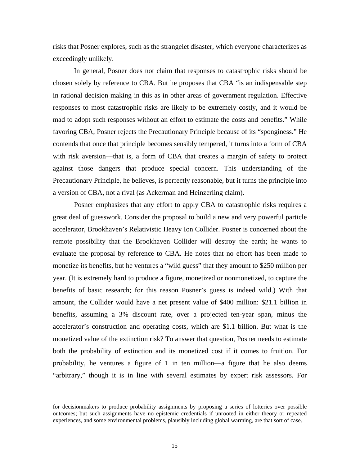risks that Posner explores, such as the strangelet disaster, which everyone characterizes as exceedingly unlikely.

In general, Posner does not claim that responses to catastrophic risks should be chosen solely by reference to CBA. But he proposes that CBA "is an indispensable step in rational decision making in this as in other areas of government regulation. Effective responses to most catastrophic risks are likely to be extremely costly, and it would be mad to adopt such responses without an effort to estimate the costs and benefits." While favorin g CBA, Posner rejects the Precautionary Principle because of its "sponginess." He contends that once that principle becomes sensibly tempered, it turns into a form of CBA with risk aversion—that is, a form of CBA that creates a margin of safety to protect against those dangers that produce special concern. This understanding of the Precautionary Principle, he believes, is perfectly reasonable, but it turns the principle into a version of CBA, not a rival (as Ackerman and Heinzerling claim).

evaluate the proposal by reference to CBA. He notes that no effort has been made to monetize its benefits, but he ventures a "wild guess" that they amount to \$250 million per "arbitrary," though it is in line with several estimates by expert risk assessors. For Posner emphasizes that any effort to apply CBA to catastrophic risks requires a great deal of guesswork. Consider the proposal to build a new and very powerful particle accelerator, Brookhaven's Relativistic Heavy Ion Collider. Posner is concerned about the remote possibility that the Brookhaven Collider will destroy the earth; he wants to year. (It is extremely hard to produce a figure, monetized or nonmonetized, to capture the benefits of basic research; for this reason Posner's guess is indeed wild.) With that amount, the Collider would have a net present value of \$400 million: \$21.1 billion in benefits, assuming a 3% discount rate, over a projected ten-year span, minus the accelerator's construction and operating costs, which are \$1.1 billion. But what is the monetized value of the extinction risk? To answer that question, Posner needs to estimate both the probability of extinction and its monetized cost if it comes to fruition. For probability, he ventures a figure of 1 in ten million—a figure that he also deems

for decisionmakers to produce probability assignments by proposing a series of lotteries over possible outcomes; but such assignments have no epistemic credentials if unrooted in either theory or repeated experiences, and some environmental problems, plausibly including global warming, are that sort of case.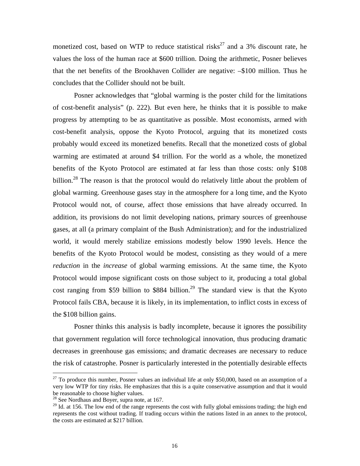monetized cost, based on WTP to reduce statistical risks<sup>27</sup> and a 3% discount rate, he values the loss of the human race at \$600 trillion. Doing the arithmetic, Posner believes that the net benefits of the Brookhaven Collider are negative: –\$100 million. Thus he concludes that the Collider should not be built.

global warming. Greenhouse gases stay in the atmosphere for a long time, and the Kyoto Protoco l would not, of course, affect those emissions that have already occurred. In Posner acknowledges that "global warming is the poster child for the limitations of cost-benefit analysis" (p. 222). But even here, he thinks that it is possible to make progress by attempting to be as quantitative as possible. Most economists, armed with cost-benefit analysis, oppose the Kyoto Protocol, arguing that its monetized costs probably would exceed its monetized benefits. Recall that the monetized costs of global warming are estimated at around \$4 trillion. For the world as a whole, the monetized benefits of the Kyoto Protocol are estimated at far less than those costs: only \$108 billion.<sup>28</sup> The reason is that the protocol would do relatively little about the problem of addition, its provisions do not limit developing nations, primary sources of greenhouse gases, at all (a primary complaint of the Bush Administration); and for the industrialized world, it would merely stabilize emissions modestly below 1990 levels. Hence the benefits of the Kyoto Protocol would be modest, consisting as they would of a mere *reduction* in the *increase* of global warming emissions. At the same time, the Kyoto Protocol would impose significant costs on those subject to it, producing a total global cost ranging from \$59 billion to \$884 billion.<sup>29</sup> The standard view is that the Kyoto Protocol fails CBA, because it is likely, in its implementation, to inflict costs in excess of the \$108 billion gains.

Posner thinks this analysis is badly incomplete, because it ignores the possibility that government regulation will force technological innovation, thus producing dramatic decreases in greenhouse gas emissions; and dramatic decreases are necessary to reduce the risk of catastrophe. Posner is particularly interested in the potentially desirable effects

1

<span id="page-17-0"></span> $27$  To produce this number, Posner values an individual life at only \$50,000, based on an assumption of a very low WTP for tiny risks. He emphasizes that this is a quite conservative assumption and that it would be reasonable to choose higher values.<br><sup>28</sup> See Nordhaus and Boyer, supra note, at 167.

<span id="page-17-1"></span>

<span id="page-17-2"></span><sup>&</sup>lt;sup>29</sup> Id. at 156. The low end of the range represents the cost with fully global emissions trading; the high end represents the cost without trading. If trading occurs within the nations listed in an annex to the protocol, the costs are estimated at \$217 billion.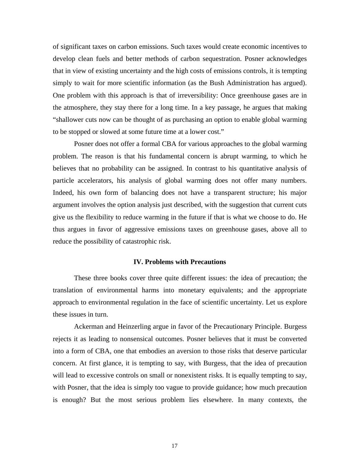of significant taxes on carbon emissions. Such taxes would create economic incentives to develop clean fuels and better methods of carbon sequestration. Posner acknowledges that in view of existing uncertainty and the high costs of emissions controls, it is tempting simply to wait for more scientific information (as the Bush Administration has argued). One pr oblem with this approach is that of irreversibility: Once greenhouse gases are in the atmosphere, they stay there for a long time. In a key passage, he argues that making "shallower cuts now can be thought of as purchasing an option to enable global warming to be stopped or slowed at some future time at a lower cost."

Posner does not offer a formal CBA for various approaches to the global warming problem. The reason is that his fundamental concern is abrupt warming, to which he believes that no probability can be assigned. In contrast to his quantitative analysis of particle accelerators, his analysis of global warming does not offer many numbers. Indeed, his own form of balancing does not have a transparent structure; his major argument involves the option analysis just described, with the suggestion that current cuts give us the flexibility to reduce warming in the future if that is what we choose to do. He thus argues in favor of aggressive emissions taxes on greenhouse gases, above all to reduce the possibility of catastrophic risk.

#### **IV. Problems with Precautions**

These three books cover three quite different issues: the idea of precaution; the translation of environmental harms into monetary equivalents; and the appropriate approach to environmental regulation in the face of scientific uncertainty. Let us explore these issues in turn.

is enough? But the most serious problem lies elsewhere. In many contexts, the Ackerman and Heinzerling argue in favor of the Precautionary Principle. Burgess rejects it as leading to nonsensical outcomes. Posner believes that it must be converted into a form of CBA, one that embodies an aversion to those risks that deserve particular concern. At first glance, it is tempting to say, with Burgess, that the idea of precaution will lead to excessive controls on small or nonexistent risks. It is equally tempting to say, with Posner, that the idea is simply too vague to provide guidance; how much precaution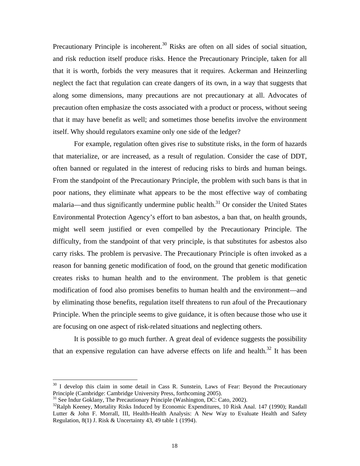Precautionary Principle is incoherent.<sup>30</sup> Risks are often on all sides of social situation, and risk reduction itself produce risks. Hence the Precautionary Principle, taken for all that it is worth, forbids the very measures that it requires. Ackerman and Heinzerling neglect the fact that regulation can create dangers of its own, in a way that suggests that along some dimensions, many precautions are not precautionary at all. Advocates of precaution often emphasize the costs associated with a product or process, without seeing that it may have benefit as well; and sometimes those benefits involve the environment itself. Why should regulators examine only one side of the ledger?

difficulty, from the standpoint of that very principle, is that substitutes for asbestos also carry risks. The problem is pervasive. The Precautionary Principle is often invoked as a reason for banning genetic modification of food, on the ground that genetic modification creates risks to human health and to the environment. The problem is that genetic Principle. When the principle seems to give guidance, it is often because those who use it are foc using on one aspect of risk-related situations and neglecting others. For example, regulation often gives rise to substitute risks, in the form of hazards that materialize, or are increased, as a result of regulation. Consider the case of DDT, often banned or regulated in the interest of reducing risks to birds and human beings. From the standpoint of the Precautionary Principle, the problem with such bans is that in poor nations, they eliminate what appears to be the most effective way of combating malaria—and thus significantly undermine public health.<sup>31</sup> Or consider the United States Environmental Protection Agency's effort to ban asbestos, a ban that, on health grounds, might well seem justified or even compelled by the Precautionary Principle. The modification of food also promises benefits to human health and the environment—and by eliminating those benefits, regulation itself threatens to run afoul of the Precautionary

It is possible to go much further. A great deal of evidence suggests the possibility that an expensive regulation can have adverse effects on life and health. $32$  It has been

<u>.</u>

<span id="page-19-0"></span> $30$  I develop this claim in some detail in Cass R. Sunstein, Laws of Fear: Beyond the Precautionary Principle (Cambridge: Cambridge University Press, forthcoming 2005).<br><sup>31</sup> See Indur Goklany, The Precautionary Principle (Washington, DC: Cato, 2002).<br><sup>32</sup> Ralph Keeney, Mortality Risks Induced by Economic Expenditures, 10

<span id="page-19-1"></span>

<span id="page-19-2"></span>Lutter & John F. Morrall, III, Health-Health Analysis: A New Way to Evaluate Health and Safety Regulation, 8(1) J. Risk & Uncertainty 43, 49 table 1 (1994).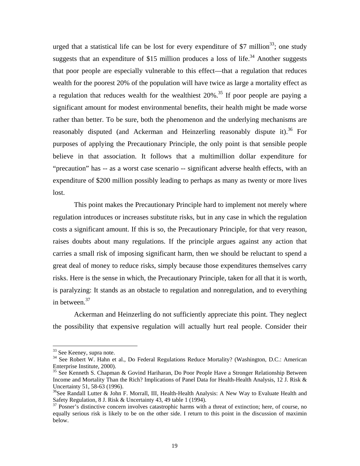urged that a statistical life can be lost for every expenditure of \$7 million<sup>33</sup>; one study suggests that an expenditure of \$15 million produces a loss of life.<sup>34</sup> Another suggests that poor people are especially vulnerable to this effect—that a regulation that reduces wealth for the poorest 20% of the population will have twice as large a mortality effect as a regulation that reduces wealth for the wealthiest  $20\%$ <sup>35</sup> If poor people are paying a significant amount for modest environmental benefits, their health might be made worse rather than better. To be sure, both the phenomenon and the underlying mechanisms are reasonably disputed (and Ackerman and Heinzerling reasonably dispute it).<sup>36</sup> For purpos es of applying the Precautionary Principle, the only point is that sensible people believe in that association. It follows that a multimillion dollar expenditure for "precaution" has -- as a worst case scenario -- significant adverse health effects, with an expenditure of \$200 million possibly leading to perhaps as many as twenty or more lives lost.

This point makes the Precautionary Principle hard to implement not merely where regulation introduces or increases substitute risks, but in any case in which the regulation costs a significant amount. If this is so, the Precautionary Principle, for that very reason, raises doubts about many regulations. If the principle argues against any action that carries a small risk of imposing significant harm, then we should be reluctant to spend a great deal of money to reduce risks, simply because those expenditures themselves carry risks. Here is the sense in which, the Precautionary Principle, taken for all that it is worth, is paralyzing: It stands as an obstacle to regulation and nonregulation, and to everything in between.<sup>37</sup>

the possibility that expensive regulation will actually hurt real people. Consider their Ackerman and Heinzerling do not sufficiently appreciate this point. They neglect

1

<span id="page-20-0"></span><sup>&</sup>lt;sup>33</sup> See Keeney, supra note.

<span id="page-20-1"></span><sup>&</sup>lt;sup>34</sup> See Robert W. Hahn et al., Do Federal Regulations Reduce Mortality? (Washington, D.C.: American Enterprise Institute, 2000).

<span id="page-20-2"></span><sup>&</sup>lt;sup>35</sup> See Kenneth S. Chapman & Govind Hariharan, Do Poor People Have a Stronger Relationship Between Income and Mortality Than the Rich? Implications of Panel Data for Health-Health Analysis, 12 J. Risk & Uncertainty 51, 58-63 (1996).<br><sup>36</sup>See Randall Lutter & John F. Morrall, III, Health-Health Analysis: A New Way to Evaluate Health and

<span id="page-20-3"></span>Safety Regulation, 8 J. Risk & Uncertainty 43, 49 table 1 (1994).<br><sup>37</sup> Posner's distinctive concern involves catastrophic harms with a threat of extinction; here, of course, no

<span id="page-20-4"></span>equally serious risk is likely to be on the other side. I return to this point in the discussion of maximin below.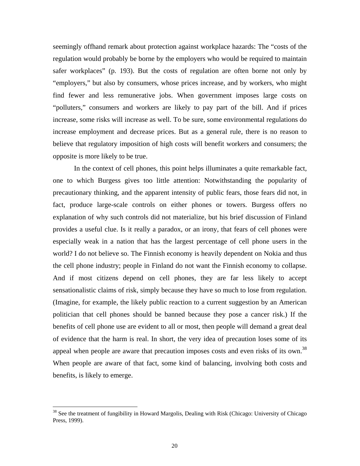seemingly offhand remark about protection against workplace hazards: The "costs of the regulation would probably be borne by the employers who would be required to maintain safer workplaces" (p. 193). But the costs of regulation are often borne not only by "employers," but also by consumers, whose prices increase, and by workers, who might find fewer and less remunerative jobs. When government imposes large costs on "polluters," consumers and workers are likely to pay part of the bill. And if prices increase, some risks will increase as well. To be sure, some environmental regulations do increase employment and decrease prices. But as a general rule, there is no reason to believe that regulatory imposition of high costs will benefit workers and consumers; the opposite is more likely to be true.

In the context of cell phones, this point helps illuminates a quite remarkable fact, one to which Burgess gives too little attention: Notwithstanding the popularity of precautionary thinking, and the apparent intensity of public fears, those fears did not, in fact, p roduce large-scale controls on either phones or towers. Burgess offers no (Imagine, for example, the likely public reaction to a current suggestion by an American politici an that cell phones should be banned because they pose a cancer risk.) If the of evidence that the harm is real. In short, the very idea of precaution loses some of its appeal when people are aware that precaution imposes costs and even risks of its own.<sup>38</sup> explanation of why such controls did not materialize, but his brief discussion of Finland provides a useful clue. Is it really a paradox, or an irony, that fears of cell phones were especially weak in a nation that has the largest percentage of cell phone users in the world? I do not believe so. The Finnish economy is heavily dependent on Nokia and thus the cell phone industry; people in Finland do not want the Finnish economy to collapse. And if most citizens depend on cell phones, they are far less likely to accept sensationalistic claims of risk, simply because they have so much to lose from regulation. benefits of cell phone use are evident to all or most, then people will demand a great deal When people are aware of that fact, some kind of balancing, involving both costs and benefits, is likely to emerge.

1

<span id="page-21-0"></span><sup>&</sup>lt;sup>38</sup> See the treatment of fungibility in Howard Margolis, Dealing with Risk (Chicago: University of Chicago Press, 1999).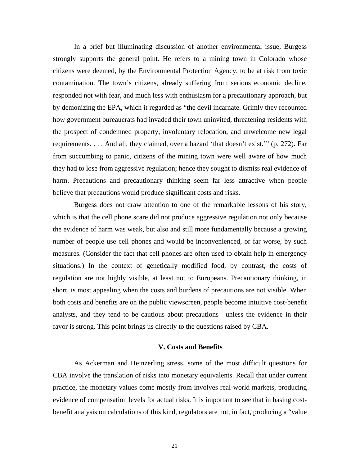In a brief but illuminating discussion of another environmental issue, Burgess strongly supports the general point. He refers to a mining town in Colorado whose citizens were deemed, by the Environmental Protection Agency, to be at risk from toxic contamination. The town's citizens, already suffering from serious economic decline, responded not with fear, and much less with enthusiasm for a precautionary approach, but by demonizing the EPA, which it regarded as "the devil incarnate. Grimly they recounted how government bureaucrats had invaded their town uninvited, threatening residents with the prospect of condemned property, involuntary relocation, and unwelcome new legal requirements. . . . And all, they claimed, over a hazard 'that doesn't exist.'" (p. 272). Far from succumbing to panic, citizens of the mining town were well aware of how much they ha d to lose from aggressive regulation; hence they sought to dismiss real evidence of harm. Precautions and precautionary thinking seem far less attractive when people believe that precautions would produce significant costs and risks.

Burgess does not draw attention to one of the remarkable lessons of his story, which is that the cell phone scare did not produce aggressive regulation not only because the evidence of harm was weak, but also and still more fundamentally because a growing number of people use cell phones and would be inconvenienced, or far worse, by such measures. (Consider the fact that cell phones are often used to obtain help in emergency situations.) In the context of genetically modified food, by contrast, the costs of regulation are not highly visible, at least not to Europeans. Precautionary thinking, in short, is most appealing when the costs and burdens of precautions are not visible. When both costs and benefits are on the public viewscreen, people become intuitive cost-benefit analysts, and they tend to be cautious about precautions—unless the evidence in their favor is strong. This point brings us directly to the questions raised by CBA.

#### **V. Costs and Benefits**

CBA involve the translation of risks into monetary equivalents. Recall that under current practice, the monetary values come mostly from involves real-world markets, producing evidence of compensation levels for actual risks. It is important to see that in basing cost-As Ackerman and Heinzerling stress, some of the most difficult questions for benefit analysis on calculations of this kind, regulators are not, in fact, producing a "value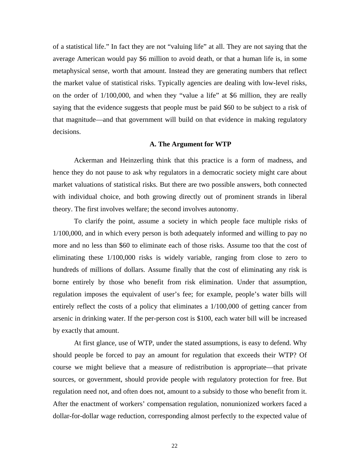of a sta tistical life." In fact they are not "valuing life" at all. They are not saying that the average American would pay \$6 million to avoid death, or that a human life is, in some metaphysical sense, worth that amount. Instead they are generating numbers that reflect the market value of statistical risks. Typically agencies are dealing with low-level risks, on the order of 1/100,000, and when they "value a life" at \$6 million, they are really saying that the evidence suggests that people must be paid \$60 to be subject to a risk of that magnitude—and that government will build on that evidence in making regulatory decisions.

#### **A. The Argument for WTP**

with individual choice, and both growing directly out of prominent strands in liberal theory. The first involves welfare; the second involves autonomy. Ackerman and Heinzerling think that this practice is a form of madness, and hence they do not pause to ask why regulators in a democratic society might care about market valuations of statistical risks. But there are two possible answers, both connected

To clarify the point, assume a society in which people face multiple risks of 1/100,000, and in which every person is both adequately informed and willing to pay no more and no less than \$60 to eliminate each of those risks. Assume too that the cost of eliminating these 1/100,000 risks is widely variable, ranging from close to zero to hundreds of millions of dollars. Assume finally that the cost of eliminating any risk is borne entirely by those who benefit from risk elimination. Under that assumption, regulation imposes the equivalent of user's fee; for example, people's water bills will entirely reflect the costs of a policy that eliminates a 1/100,000 of getting cancer from arsenic in drinking water. If the per-person cost is \$100, each water bill will be increased by exactly that amount.

At first glance, use of WTP, under the stated assumptions, is easy to defend. Why should people be forced to pay an amount for regulation that exceeds their WTP? Of course we might believe that a measure of redistribution is appropriate—that private sources, or government, should provide people with regulatory protection for free. But regulation need not, and often does not, amount to a subsidy to those who benefit from it. After the enactment of workers' compensation regulation, nonunionized workers faced a dollar-for-dollar wage reduction, corresponding almost perfectly to the expected value of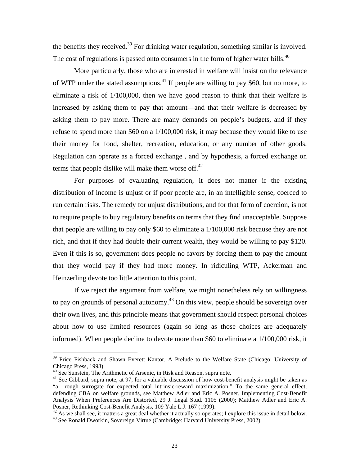the benefits they received.<sup>39</sup> For drinking water regulation, something similar is involved. The cost of regulations is passed onto consumers in the form of higher water bills.<sup>40</sup>

More particularly, those who are interested in welfare will insist on the relevance of WTP under the stated assumptions.<sup>41</sup> If people are willing to pay \$60, but no more, to eliminate a risk of 1/100,000, then we have good reason to think that their welfare is increased by asking them to pay that amount—and that their welfare is decreased by asking them to pay more. There are many demands on people's budgets, and if they refuse to spend more than \$60 on a 1/100,000 risk, it may because they would like to use their money for food, shelter, recreation, education, or any number of other goods. Regulation can operate as a forced exchange, and by hypothesis, a forced exchange on terms that people dislike will make them worse off.<sup>42</sup>

run certain risks. The remedy for unjust distributions, and for that form of coercion, is not to requ ire people to buy regulatory benefits on terms that they find unacceptable. Suppose For purposes of evaluating regulation, it does not matter if the existing distribution of income is unjust or if poor people are, in an intelligible sense, coerced to that people are willing to pay only \$60 to eliminate a 1/100,000 risk because they are not rich, and that if they had double their current wealth, they would be willing to pay \$120. Even if this is so, government does people no favors by forcing them to pay the amount that they would pay if they had more money. In ridiculing WTP, Ackerman and Heinzerling devote too little attention to this point.

about how to use limited resources (again so long as those choices are adequately informe d). When people decline to devote more than \$60 to eliminate a 1/100,000 risk, it If we reject the argument from welfare, we might nonetheless rely on willingness to pay on grounds of personal autonomy.<sup>43</sup> On this view, people should be sovereign over their own lives, and this principle means that government should respect personal choices

<span id="page-24-0"></span><sup>&</sup>lt;sup>39</sup> Price Fishback and Shawn Everett Kantor, A Prelude to the Welfare State (Chicago: University of Chicago Press, 1998).

<span id="page-24-2"></span><span id="page-24-1"></span>

<sup>&</sup>lt;sup>40</sup> See Sunstein, The Arithmetic of Arsenic, in Risk and Reason, supra note.  $41$  See Gibbard, supra note, at 97, for a valuable discussion of how cost-benefit analysis might be taken as "a rough surrogate for expected total intrinsic-reward maximization." To the same general effect, defending CBA on welfare grounds, see Matthew Adler and Eric A. Posner, Implementing Cost-Benefit Analysis When Preferences Are Distorted, 29 J. Legal Stud. 1105 (2000); Matthew Adler and Eric A.

<span id="page-24-4"></span><span id="page-24-3"></span> $^{42}$  As we shall see, it matters a great deal whether it actually so operates; I explore this issue in detail below.<br> $^{43}$  See Ronald Dworkin, Sovereign Virtue (Cambridge: Harvard University Press, 2002).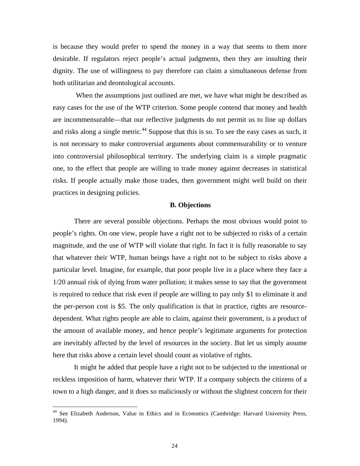is because they would prefer to spend the money in a way that seems to them more desirable. If regulators reject people's actual judgments, then they are insulting their dignity . The use of willingness to pay therefore can claim a simultaneous defense from both utilitarian and deontological accounts.

one, to the effect that people are willing to trade money against decreases in statistical risks. I f people actually make those trades, then government might well build on their When the assumptions just outlined are met, we have what might be described as easy cases for the use of the WTP criterion. Some people contend that money and health are incommensurable—that our reflective judgments do not permit us to line up dollars and risks along a single metric.<sup>44</sup> Suppose that this is so. To see the easy cases as such, it is not necessary to make controversial arguments about commensurability or to venture into controversial philosophical territory. The underlying claim is a simple pragmatic practices in designing policies.

#### **B. Objections**

1/20 annual risk of dying from water pollution; it makes sense to say that the government is requ ired to reduce that risk even if people are willing to pay only \$1 to eliminate it and There are several possible objections. Perhaps the most obvious would point to people's rights. On one view, people have a right not to be subjected to risks of a certain magnitude, and the use of WTP will violate that right. In fact it is fully reasonable to say that whatever their WTP, human beings have a right not to be subject to risks above a particular level. Imagine, for example, that poor people live in a place where they face a the per-person cost is \$5. The only qualification is that in practice, rights are resourcedependent. What rights people are able to claim, against their government, is a product of the amount of available money, and hence people's legitimate arguments for protection are inevitably affected by the level of resources in the society. But let us simply assume here that risks above a certain level should count as violative of rights.

It might be added that people have a right not to be subjected to the intentional or reckless imposition of harm, whatever their WTP. If a company subjects the citizens of a town to a high danger, and it does so maliciously or without the slightest concern for their

<span id="page-25-0"></span><sup>&</sup>lt;sup>44</sup> See Elizabeth Anderson, Value in Ethics and in Economics (Cambridge: Harvard University Press, 1994).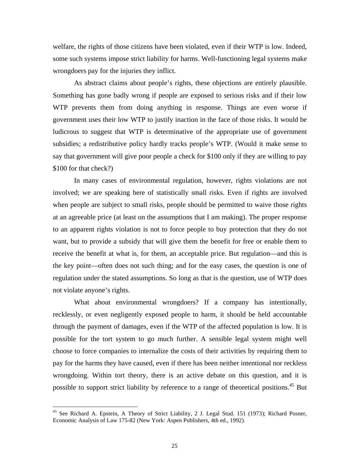welfare, the rights of those citizens have been violated, even if their WTP is low. Indeed, some such systems impose strict liability for harms. Well-functioning legal systems make wrongdoers pay for the injuries they inflict.

As abstract claims about people's rights, these objections are entirely plausible. Someth ing has gone badly wrong if people are exposed to serious risks and if their low WTP prevents them from doing anything in response. Things are even worse if government uses their low WTP to justify inaction in the face of those risks. It would be ludicrous to suggest that WTP is determinative of the appropriate use of government subsidies; a redistributive policy hardly tracks people's WTP. (Would it make sense to say that government will give poor people a check for \$100 only if they are willing to pay \$100 for that check?)

involved; we are speaking here of statistically small risks. Even if rights are involved when people are subject to small risks, people should be permitted to waive those rights at an ag reeable price (at least on the assumptions that I am making). The proper response In many cases of environmental regulation, however, rights violations are not to an apparent rights violation is not to force people to buy protection that they do not want, but to provide a subsidy that will give them the benefit for free or enable them to receive the benefit at what is, for them, an acceptable price. But regulation—and this is the key point—often does not such thing; and for the easy cases, the question is one of regulation under the stated assumptions. So long as that is the question, use of WTP does not violate anyone's rights.

choose to force companies to internalize the costs of their activities by requiring them to pay for the harms they have caused, even if there has been neither intentional nor reckless What about environmental wrongdoers? If a company has intentionally, recklessly, or even negligently exposed people to harm, it should be held accountable through the payment of damages, even if the WTP of the affected population is low. It is possible for the tort system to go much further. A sensible legal system might well wrongdoing. Within tort theory, there is an active debate on this question, and it is possible to support strict liability by reference to a range of theoretical positions.<sup>45</sup> But

1

<span id="page-26-0"></span>Economic Analysis of Law 175-82 (New York: Aspen Publishers, 4th ed., 1992). <sup>45</sup> See Richard A. Epstein, A Theory of Strict Liability, 2 J. Legal Stud. 151 (1973); Richard Posner,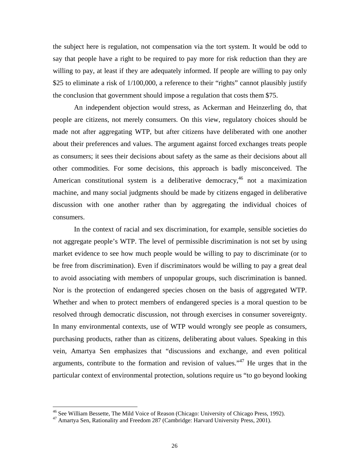the subject here is regulation, not compensation via the tort system. It would be odd to say that people have a right to be required to pay more for risk reduction than they are willing to pay, at least if they are adequately informed. If people are willing to pay only \$25 to eliminate a risk of 1/100,000, a reference to their "rights" cannot plausibly justify the conclusion that government should impose a regulation that costs them \$75.

other commodities. For some decisions, this approach is badly misconceived. The American constitutional system is a deliberative democracy,  $46$  not a maximization An independent objection would stress, as Ackerman and Heinzerling do, that people are citizens, not merely consumers. On this view, regulatory choices should be made not after aggregating WTP, but after citizens have deliberated with one another about their preferences and values. The argument against forced exchanges treats people as consumers; it sees their decisions about safety as the same as their decisions about all machine, and many social judgments should be made by citizens engaged in deliberative discussion with one another rather than by aggregating the individual choices of consumers.

Nor is the protection of endangered species chosen on the basis of aggregated WTP. Whethe r and when to protect members of endangered species is a moral question to be In the context of racial and sex discrimination, for example, sensible societies do not aggregate people's WTP. The level of permissible discrimination is not set by using market evidence to see how much people would be willing to pay to discriminate (or to be free from discrimination). Even if discriminators would be willing to pay a great deal to avoid associating with members of unpopular groups, such discrimination is banned. resolved through democratic discussion, not through exercises in consumer sovereignty. In many environmental contexts, use of WTP would wrongly see people as consumers, purchasing products, rather than as citizens, deliberating about values. Speaking in this vein, Amartya Sen emphasizes that "discussions and exchange, and even political arguments, contribute to the formation and revision of values."<sup>47</sup> He urges that in the particular context of environmental protection, solutions require us "to go beyond looking

<span id="page-27-0"></span><sup>&</sup>lt;sup>46</sup> See William Bessette, The Mild Voice of Reason (Chicago: University of Chicago Press, 1992). <sup>46</sup> See William Bessette, The Mild Voice of Reason (Chicago: University of Chicago Press, 1992).<br><sup>47</sup> Amartya Sen, Rationality and Freedom 287 (Cambridge: Harvard University Press, 2001).

<span id="page-27-1"></span>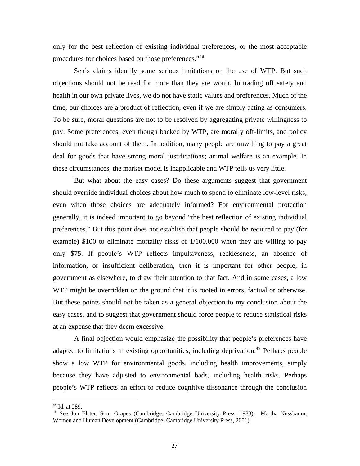only for the best reflection of existing individual preferences, or the most acceptable procedures for choices based on those preferences."<sup>[48](#page-28-0)</sup>

Sen's claims identify some serious limitations on the use of WTP. But such objections should not be read for more than they are worth. In trading off safety and health in our own private lives, we do not have static values and preferences. Much of the time, o ur choices are a product of reflection, even if we are simply acting as consumers. To be sure, moral questions are not to be resolved by aggregating private willingness to pay. Some preferences, even though backed by WTP, are morally off-limits, and policy should not take account of them. In addition, many people are unwilling to pay a great deal for goods that have strong moral justifications; animal welfare is an example. In these circumstances, the market model is inapplicable and WTP tells us very little.

generally, it is indeed important to go beyond "the best reflection of existing individual prefere nces." But this point does not establish that people should be required to pay (for But what about the easy cases? Do these arguments suggest that government should override individual choices about how much to spend to eliminate low-level risks, even when those choices are adequately informed? For environmental protection example) \$100 to eliminate mortality risks of 1/100,000 when they are willing to pay only \$75. If people's WTP reflects impulsiveness, recklessness, an absence of information, or insufficient deliberation, then it is important for other people, in government as elsewhere, to draw their attention to that fact. And in some cases, a low WTP might be overridden on the ground that it is rooted in errors, factual or otherwise. But these points should not be taken as a general objection to my conclusion about the easy cases, and to suggest that government should force people to reduce statistical risks at an expense that they deem excessive.

people's WTP reflects an effort to reduce cognitive dissonance through the conclusion A final objection would emphasize the possibility that people's preferences have adapted to limitations in existing opportunities, including deprivation.<sup>49</sup> Perhaps people show a low WTP for environmental goods, including health improvements, simply because they have adjusted to environmental bads, including health risks. Perhaps

<span id="page-28-0"></span><sup>48</sup> Id. at 289.

<span id="page-28-1"></span><sup>&</sup>lt;sup>49</sup> See Jon Elster, Sour Grapes (Cambridge: Cambridge University Press, 1983); Martha Nussbaum, Women and Human Development (Cambridge: Cambridge University Press, 2001).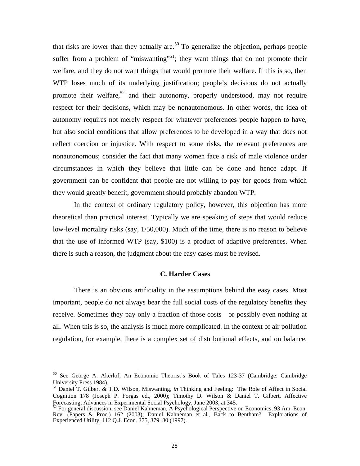that risks are lower than they actually are.<sup>50</sup> To generalize the objection, perhaps people suffer from a problem of "miswanting"<sup>51</sup>; they want things that do not promote their welfare , and they do not want things that would promote their welfare. If this is so, then circumstances in which they believe that little can be done and hence adapt. If govern ment can be confident that people are not willing to pay for goods from which WTP loses much of its underlying justification; people's decisions do not actually promote their welfare,  $52$  and their autonomy, properly understood, may not require respect for their decisions, which may be nonautonomous. In other words, the idea of autonomy requires not merely respect for whatever preferences people happen to have, but also social conditions that allow preferences to be developed in a way that does not reflect coercion or injustice. With respect to some risks, the relevant preferences are nonautonomous; consider the fact that many women face a risk of male violence under they would greatly benefit, government should probably abandon WTP.

In the context of ordinary regulatory policy, however, this objection has more theoretical than practical interest. Typically we are speaking of steps that would reduce low-level mortality risks (say, 1/50,000). Much of the time, there is no reason to believe that the use of informed WTP (say, \$100) is a product of adaptive preferences. When there is such a reason, the judgment about the easy cases must be revised.

#### **C. Harder Cases**

all. When this is so, the analysis is much more complicated. In the context of air pollution regulat ion, for example, there is a complex set of distributional effects, and on balance, There is an obvious artificiality in the assumptions behind the easy cases. Most important, people do not always bear the full social costs of the regulatory benefits they receive. Sometimes they pay only a fraction of those costs—or possibly even nothing at

<span id="page-29-0"></span><sup>50</sup> See George A. Akerlof, An Economic Theorist's Book of Tales 123-37 (Cambridge: Cambridge University Press 1984).<br><sup>51</sup> Daniel T. Gilbert & T.D. Wilson, Miswanting, *in* Thinking and Feeling: The Role of Affect in Social

<span id="page-29-1"></span>Cognition 178 (Joseph P. Forgas ed., 2000); Timothy D. Wilson & Daniel T. Gilbert, Affective Forecasting, Advances in Experimental Social Psychology, June 2003, at 345.<br><sup>52</sup> For general discussion, see Daniel Kahneman, A Psychological Perspective on Economics, 93 Am. Econ.

<span id="page-29-2"></span>Rev. (Papers & Proc.) 162 (2003); Daniel Kahneman et al., Back to Bentham? Explorations of Experienced Utility, 112 Q.J. Econ. 375, 379–80 (1997).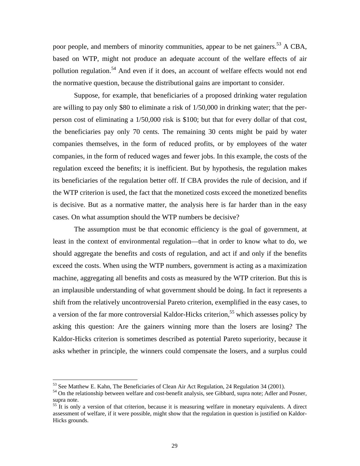poor people, and members of minority communities, appear to be net gainers.<sup>53</sup> A CBA, based on WTP, might not produce an adequate account of the welfare effects of air pollution regulation.<sup>54</sup> And even if it does, an account of welfare effects would not end the normative question, because the distributional gains are important to consider.

Suppose, for example, that beneficiaries of a proposed drinking water regulation are willing to pay only \$80 to eliminate a risk of 1/50,000 in drinking water; that the perperson cost of eliminating a 1/50,000 risk is \$100; but that for every dollar of that cost, the beneficiaries pay only 70 cents. The remaining 30 cents might be paid by water companies themselves, in the form of reduced profits, or by employees of the water companies, in the form of reduced wages and fewer jobs. In this example, the costs of the regulation exceed the benefits; it is inefficient. But by hypothesis, the regulation makes its beneficiaries of the regulation better off. If CBA provides the rule of decision, and if the WTP criterion is used, the fact that the monetized costs exceed the monetized benefits is decis ive. But as a normative matter, the analysis here is far harder than in the easy cases. On what assumption should the WTP numbers be decisive?

should aggregate the benefits and costs of regulation, and act if and only if the benefits exceed the costs. When using the WTP numbers, government is acting as a maximization machine, aggregating all benefits and costs as measured by the WTP criterion. But this is an imp lausible understanding of what government should be doing. In fact it represents a asks whether in principle, the winners could compensate the losers, and a surplus could The assumption must be that economic efficiency is the goal of government, at least in the context of environmental regulation—that in order to know what to do, we shift from the relatively uncontroversial Pareto criterion, exemplified in the easy cases, to a version of the far more controversial Kaldor-Hicks criterion,<sup>55</sup> which assesses policy by asking this question: Are the gainers winning more than the losers are losing? The Kaldor-Hicks criterion is sometimes described as potential Pareto superiority, because it

<span id="page-30-0"></span> $53$  See Matthew E. Kahn, The Beneficiaries of Clean Air Act Regulation, 24 Regulation 34 (2001).

<span id="page-30-1"></span><sup>&</sup>lt;sup>54</sup> On the relationship between welfare and cost-benefit analysis, see Gibbard, supra note; Adler and Posner, supra note.<br><sup>55</sup> It is only a version of that criterion, because it is measuring welfare in monetary equivalents. A direct

<span id="page-30-2"></span>assessment of welfare, if it were possible, might show that the regulation in question is justified on Kaldor-Hicks grounds.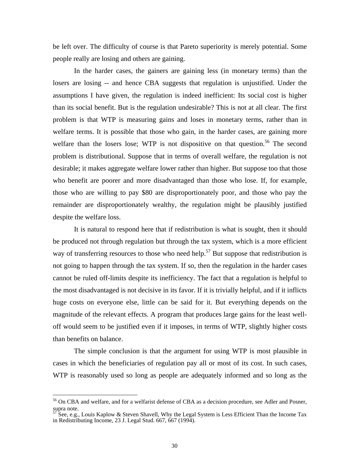be left over. The difficulty of course is that Pareto superiority is merely potential. Some people really are losing and others are gaining.

In the harder cases, the gainers are gaining less (in monetary terms) than the losers are losing -- and hence CBA suggests that regulation is unjustified. Under the assump tions I have given, the regulation is indeed inefficient: Its social cost is higher than its social benefit. But is the regulation undesirable? This is not at all clear. The first problem is that WTP is measuring gains and loses in monetary terms, rather than in welfare terms. It is possible that those who gain, in the harder cases, are gaining more welfare than the losers lose; WTP is not dispositive on that question.<sup>56</sup> The second problem is distributional. Suppose that in terms of overall welfare, the regulation is not desirable; it makes aggregate welfare lower rather than higher. But suppose too that those who benefit are poorer and more disadvantaged than those who lose. If, for example, those who are willing to pay \$80 are disproportionately poor, and those who pay the remainder are disproportionately wealthy, the regulation might be plausibly justified despite the welfare loss.

It is natural to respond here that if redistribution is what is sought, then it should be produced not through regulation but through the tax system, which is a more efficient way of transferring resources to those who need help.<sup>57</sup> But suppose that redistribution is not going to happen through the tax system. If so, then the regulation in the harder cases cannot be ruled off-limits despite its inefficiency. The fact that a regulation is helpful to the most disadvantaged is not decisive in its favor. If it is trivially helpful, and if it inflicts huge costs on everyone else, little can be said for it. But everything depends on the magnitude of the relevant effects. A program that produces large gains for the least welloff would seem to be justified even if it imposes, in terms of WTP, slightly higher costs than benefits on balance.

cases in which the beneficiaries of regulation pay all or most of its cost. In such cases, WTP is reasonably used so long as people are adequately informed and so long as the The simple conclusion is that the argument for using WTP is most plausible in

<span id="page-31-0"></span><sup>&</sup>lt;sup>56</sup> On CBA and welfare, and for a welfarist defense of CBA as a decision procedure, see Adler and Posner, supra note.<br>
<sup>57</sup> See a.g. I onis Karlow & Street and Ward and Ward and Ward and Ward and Ward and Ward and Ward a

<span id="page-31-1"></span>See, e.g., Louis Kaplow & Steven Shavell, Why the Legal System is Less Efficient Than the Income Tax in Redistributing Income, 23 J. Legal Stud. 667, 667 (1994).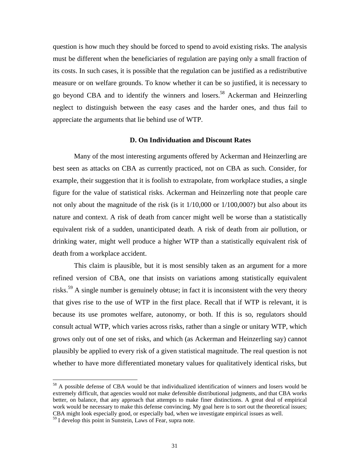question is how much they should be forced to spend to avoid existing risks. The analysis must be different when the beneficiaries of regulation are paying only a small fraction of its cost s. In such cases, it is possible that the regulation can be justified as a redistributive measure or on welfare grounds. To know whether it can be so justified, it is necessary to go beyond CBA and to identify the winners and losers.<sup>58</sup> Ackerman and Heinzerling neglect to distinguish between the easy cases and the harder ones, and thus fail to appreciate the arguments that lie behind use of WTP.

#### **D. On Individuation and Discount Rates**

nature and context. A risk of death from cancer might well be worse than a statistically equiva lent risk of a sudden, unanticipated death. A risk of death from air pollution, or Many of the most interesting arguments offered by Ackerman and Heinzerling are best seen as attacks on CBA as currently practiced, not on CBA as such. Consider, for example, their suggestion that it is foolish to extrapolate, from workplace studies, a single figure for the value of statistical risks. Ackerman and Heinzerling note that people care not only about the magnitude of the risk (is it  $1/10,000$  or  $1/100,000$ ?) but also about its drinking water, might well produce a higher WTP than a statistically equivalent risk of death from a workplace accident.

grows only out of one set of risks, and which (as Ackerman and Heinzerling say) cannot plausib ly be applied to every risk of a given statistical magnitude. The real question is not This claim is plausible, but it is most sensibly taken as an argument for a more refined version of CBA, one that insists on variations among statistically equivalent risks.[59 A](#page-32-1) single number is genuinely obtuse; in fact it is inconsistent with the very theory that gives rise to the use of WTP in the first place. Recall that if WTP is relevant, it is because its use promotes welfare, autonomy, or both. If this is so, regulators should consult actual WTP, which varies across risks, rather than a single or unitary WTP, which whether to have more differentiated monetary values for qualitatively identical risks, but

<u>.</u>

<span id="page-32-0"></span> $58$  A possible defense of CBA would be that individualized identification of winners and losers would be extremely difficult, that agencies would not make defensible distributional judgments, and that CBA works better, on balance, that any approach that attempts to make finer distinctions. A great deal of empirical work would be necessary to make this defense convincing. My goal here is to sort out the theoretical issues; CBA might look especially good, or especially bad, when we investigate empirical issues as well. 59 I develop this point in Sunstein, Laws of Fear, supra note.

<span id="page-32-1"></span>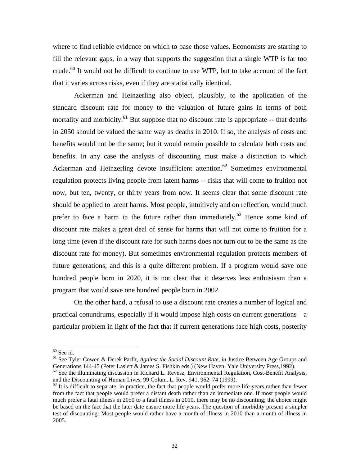where to find reliable evidence on which to base those values. Economists are starting to fill the relevant gaps, in a way that supports the suggestion that a single WTP is far too crude.<sup>60</sup> It would not be difficult to continue to use WTP, but to take account of the fact that it varies across risks, even if they are statistically identical.

Ackerman and Heinzerling also object, plausibly, to the application of the standard discount rate for money to the valuation of future gains in terms of both mortality and morbidity.<sup>61</sup> But suppose that no discount rate is appropriate  $-$  that deaths in 2050 should be valued the same way as deaths in 2010. If so, the analysis of costs and benefits would not be the same; but it would remain possible to calculate both costs and discount rate for money). But sometimes environmental regulation protects members of future generations; and this is a quite different problem. If a program would save one benefits. In any case the analysis of discounting must make a distinction to which Ackerman and Heinzerling devote insufficient attention.<sup>62</sup> Sometimes environmental regulation protects living people from latent harms -- risks that will come to fruition not now, but ten, twenty, or thirty years from now. It seems clear that some discount rate should be applied to latent harms. Most people, intuitively and on reflection, would much prefer to face a harm in the future rather than immediately.<sup>63</sup> Hence some kind of discount rate makes a great deal of sense for harms that will not come to fruition for a long time (even if the discount rate for such harms does not turn out to be the same as the hundred people born in 2020, it is not clear that it deserves less enthusiasm than a program that would save one hundred people born in 2002.

On the other hand, a refusal to use a discount rate creates a number of logical and practical conundrums, especially if it would impose high costs on current generations—a particular problem in light of the fact that if current generations face high costs, posterity

<span id="page-33-0"></span> $60$  See id.

<span id="page-33-1"></span><sup>&</sup>lt;sup>61</sup> See Tyler Cowen & Derek Parfit, *Against the Social Discount Rate*, *in* Justice Between Age Groups and Generations 144-45 (Peter Laslett & James S. Fishkin eds.) (New Haven: Yale University Press, 1992).

<span id="page-33-2"></span> $^{62}$  See the illuminating discussion in Richard L. Revesz, Environmental Regulation, Cost-Benefit Analysis, and the Discounting of Human Lives, 99 Colum. L. Rev. 941, 962–74 (1999).

<span id="page-33-3"></span>test of discounting: Most people would rather have a month of illness in 2010 than a month of illness in  $63$  It is difficult to separate, in practice, the fact that people would prefer more life-years rather than fewer from the fact that people would prefer a distant death rather than an immediate one. If most people would much prefer a fatal illness in 2050 to a fatal illness in 2010, there may be no discounting; the choice might be based on the fact that the later date ensure more life-years. The question of morbidity present a simpler 2005.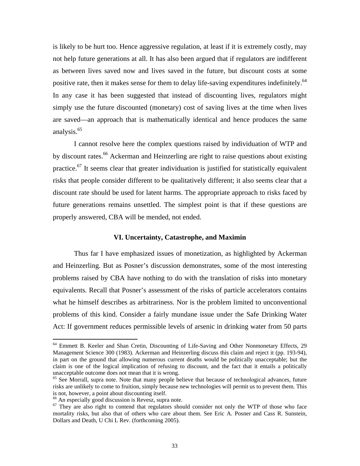is likely to be hurt too. Hence aggressive regulation, at least if it is extremely costly, may not help future generations at all. It has also been argued that if regulators are indifferent as between lives saved now and lives saved in the future, but discount costs at some positive rate, then it makes sense for them to delay life-saving expenditures indefinitely.<sup>64</sup> In any case it has been suggested that instead of discounting lives, regulators might simply use the future discounted (monetary) cost of saving lives at the time when lives are saved—an approach that is mathematically identical and hence produces the same analysis.[65](#page-34-1)

I cannot resolve here the complex questions raised by individuation of WTP and by discount rates.<sup>66</sup> Ackerman and Heinzerling are right to raise questions about existing practice.<sup>67</sup> It seems clear that greater individuation is justified for statistically equivalent risks that people consider different to be qualitatively different; it also seems clear that a discount rate should be used for latent harms. The appropriate approach to risks faced by future generations remains unsettled. The simplest point is that if these questions are properly answered, CBA will be mended, not ended.

#### **VI. Uncertainty, Catastrophe, and Maximin**

equivalents. Recall that Posner's assessment of the risks of particle accelerators contains what h e himself describes as arbitrariness. Nor is the problem limited to unconventional Thus far I have emphasized issues of monetization, as highlighted by Ackerman and Heinzerling. But as Posner's discussion demonstrates, some of the most interesting problems raised by CBA have nothing to do with the translation of risks into monetary problems of this kind. Consider a fairly mundane issue under the Safe Drinking Water Act: If government reduces permissible levels of arsenic in drinking water from 50 parts

<u>.</u>

<span id="page-34-0"></span><sup>&</sup>lt;sup>64</sup> Emmett B. Keeler and Shan Cretin, Discounting of Life-Saving and Other Nonmonetary Effects, 29 Management Science 300 (1983). Ackerman and Heinzerling discuss this claim and reject it (pp. 193-94), claim is one of the logical implication of refusing to discount, and the fact that it entails a politically unacceptable outcome does not mean that it is wrong.<br><sup>65</sup> See Morrall, supra note. Note that many people believe that because of technological advances, future in part on the ground that allowing numerous current deaths would be politically unacceptable; but the

<span id="page-34-1"></span>risks are unlikely to come to fruition, simply because new technologies will permit us to prevent them. This is not, however, a point about discounting itself.<br>
<sup>66</sup> An especially good discussion is Revesz, supra note.<br>
<sup>67</sup> They are also right to contend that regulators should consider not only the WTP of those who face

<span id="page-34-2"></span>

<span id="page-34-3"></span>Dollars and Death, U Chi L Rev. (forthcoming 2005). mortality risks, but also that of others who care about them. See Eric A. Posner and Cass R. Sunstein,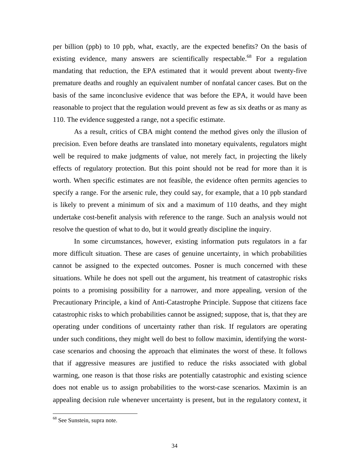per billion (ppb) to 10 ppb, what, exactly, are the expected benefits? On the basis of existing evidence, many answers are scientifically respectable.<sup>[68](#page-35-0)</sup> For a regulation mandating that reduction, the EPA estimated that it would prevent about twenty-five premature deaths and roughly an equivalent number of nonfatal cancer cases. But on the basis of the same inconclusive evidence that was before the EPA, it would have been reasonable to project that the regulation would prevent as few as six deaths or as many as 110. The evidence suggested a range, not a specific estimate.

As a result, critics of CBA might contend the method gives only the illusion of precisio n. Even before deaths are translated into monetary equivalents, regulators might undertake cost-benefit analysis with reference to the range. Such an analysis would not resolve the question of what to do, but it would greatly discipline the inquiry. well be required to make judgments of value, not merely fact, in projecting the likely effects of regulatory protection. But this point should not be read for more than it is worth. When specific estimates are not feasible, the evidence often permits agencies to specify a range. For the arsenic rule, they could say, for example, that a 10 ppb standard is likely to prevent a minimum of six and a maximum of 110 deaths, and they might

In some circumstances, however, existing information puts regulators in a far more difficult situation. These are cases of genuine uncertainty, in which probabilities under such conditions, they might well do best to follow maximin, identifying the worstappealing decision rule whenever uncertainty is present, but in the regulatory context, it cannot be assigned to the expected outcomes. Posner is much concerned with these situations. While he does not spell out the argument, his treatment of catastrophic risks points to a promising possibility for a narrower, and more appealing, version of the Precautionary Principle, a kind of Anti-Catastrophe Principle. Suppose that citizens face catastrophic risks to which probabilities cannot be assigned; suppose, that is, that they are operating under conditions of uncertainty rather than risk. If regulators are operating case scenarios and choosing the approach that eliminates the worst of these. It follows that if aggressive measures are justified to reduce the risks associated with global warming, one reason is that those risks are potentially catastrophic and existing science does not enable us to assign probabilities to the worst-case scenarios. Maximin is an

1

<span id="page-35-0"></span><sup>68</sup> See Sunstein, supra note.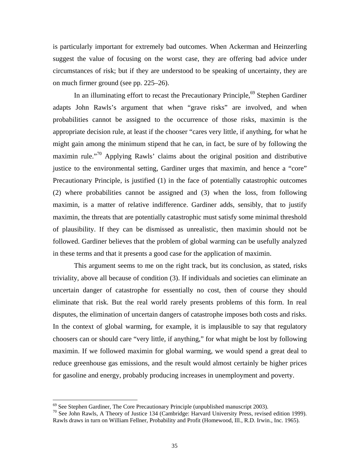is particularly important for extremely bad outcomes. When Ackerman and Heinzerling suggest the value of focusing on the worst case, they are offering bad advice under circumstances of risk; but if they are understood to be speaking of uncertainty, they are on much firmer ground (see pp. 225–26).

In an illuminating effort to recast the Precautionary Principle,  $69$  Stephen Gardiner adapts John Rawls's argument that when "grave risks" are involved, and when probabilities cannot be assigned to the occurrence of those risks, maximin is the of plausibility. If they can be dismissed as unrealistic, then maximin should not be followe d. Gardiner believes that the problem of global warming can be usefully analyzed appropriate decision rule, at least if the chooser "cares very little, if anything, for what he might gain among the minimum stipend that he can, in fact, be sure of by following the maximin rule."[70](#page-36-1) Applying Rawls' claims about the original position and distributive justice to the environmental setting, Gardiner urges that maximin, and hence a "core" Precautionary Principle, is justified (1) in the face of potentially catastrophic outcomes (2) where probabilities cannot be assigned and (3) when the loss, from following maximin, is a matter of relative indifference. Gardiner adds, sensibly, that to justify maximin, the threats that are potentially catastrophic must satisfy some minimal threshold in these terms and that it presents a good case for the application of maximin.

This argument seems to me on the right track, but its conclusion, as stated, risks triviality, above all because of condition (3). If individuals and societies can eliminate an uncertain danger of catastrophe for essentially no cost, then of course they should eliminate that risk. But the real world rarely presents problems of this form. In real disputes, the elimination of uncertain dangers of catastrophe imposes both costs and risks. In the context of global warming, for example, it is implausible to say that regulatory choosers can or should care "very little, if anything," for what might be lost by following maximin. If we followed maximin for global warming, we would spend a great deal to reduce greenhouse gas emissions, and the result would almost certainly be higher prices for gasoline and energy, probably producing increases in unemployment and poverty.

<span id="page-36-1"></span><span id="page-36-0"></span>

<sup>&</sup>lt;sup>69</sup> See Stephen Gardiner, The Core Precautionary Principle (unpublished manuscript 2003).<br><sup>70</sup> See John Rawls, A Theory of Justice 134 (Cambridge: Harvard University Press, revised edition 1999). Rawls draws in turn on William Fellner, Probability and Profit (Homewood, Ill., R.D. Irwin., Inc. 1965).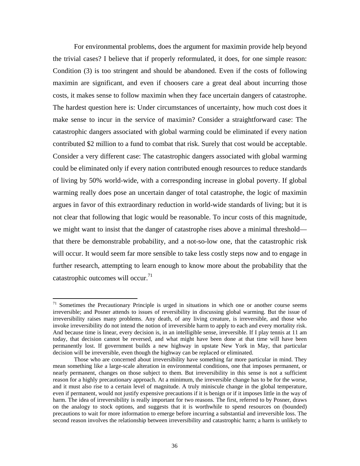<span id="page-37-0"></span>For environmental problems, does the argument for maximin provide help beyond the trivial cases? I believe that if properly reformulated, it does, for one simple reason: Condition (3) is too stringent and should be abandoned. Even if the costs of following maximin are significant, and even if choosers care a great deal about incurring those costs, i t makes sense to follow maximin when they face uncertain dangers of catastrophe. will occur. It would seem far more sensible to take less costly steps now and to engage in further research, attempting to learn enough to know more about the probability that the The hardest question here is: Under circumstances of uncertainty, how much cost does it make sense to incur in the service of maximin? Consider a straightforward case: The catastrophic dangers associated with global warming could be eliminated if every nation contributed \$2 million to a fund to combat that risk. Surely that cost would be acceptable. Consider a very different case: The catastrophic dangers associated with global warming could be eliminated only if every nation contributed enough resources to reduce standards of living by 50% world-wide, with a corresponding increase in global poverty. If global warming really does pose an uncertain danger of total catastrophe, the logic of maximin argues in favor of this extraordinary reduction in world-wide standards of living; but it is not clear that following that logic would be reasonable. To incur costs of this magnitude, we might want to insist that the danger of catastrophe rises above a minimal threshold that there be demonstrable probability, and a not-so-low one, that the catastrophic risk catastrophic outcomes will occur.<sup>71</sup>

 $71$  Sometimes the Precautionary Principle is urged in situations in which one or another course seems irreversible; and Posner attends to issues of reversibility in discussing global warming. But the issue of irreversibility raises many problems. Any death, of any living creature, is irreversible, and those who invoke irreversibility do not intend the notion of irreversible harm to apply to each and every mortality risk. And because time is linear, every decision is, in an intelligible sense, irreversible. If I play tennis at 11 am today, that decision cannot be reversed, and what might have been done at that time will have been permanently lost. If government builds a new highway in upstate New York in May, that particular decision will be irreversible, even though the highway can be replaced or eliminated.

Those who are concerned about irreversibility have something far more particular in mind. They mean something like a large-scale alteration in environmental conditions, one that imposes permanent, or nearly permanent, changes on those subject to them. But irreversibility in this sense is not a sufficient reason for a highly precautionary approach. At a minimum, the irreversible change has to be for the wor se, and it must also rise to a certain level of magnitude. A truly miniscule change in the global temperature, even if permanent, would not justify expensive precautions if it is benign or if it imposes little in the way of harm. The idea of irreversibility is really important for two reasons. The first, referred to by Posner, draws on the analogy to stock options, and suggests that it is worthwhile to spend resources on (bounded) second reason involves the relationship between irreversibility and catastrophic harm; a harm is unlikely to precautions to wait for more information to emerge before incurring a substantial and irreversible loss. The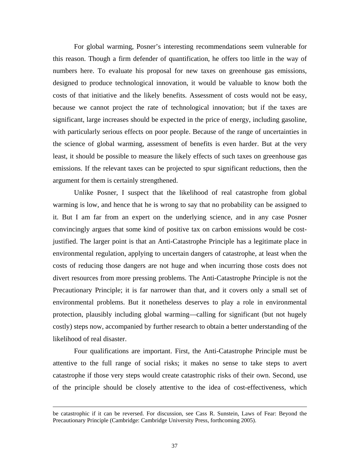For global warming, Posner's interesting recommendations seem vulnerable for this reason. Though a firm defender of quantification, he offers too little in the way of numbers here. To evaluate his proposal for new taxes on greenhouse gas emissions, designed to produce technological innovation, it would be valuable to know both the costs of that initiative and the likely benefits. Assessment of costs would not be easy, because we cannot project the rate of technological innovation; but if the taxes are significant, large increases should be expected in the price of energy, including gasoline, with particularly serious effects on poor people. Because of the range of uncertainties in the science of global warming, assessment of benefits is even harder. But at the very least, it should be possible to measure the likely effects of such taxes on greenhouse gas emissions. If the relevant taxes can be projected to spur significant reductions, then the argument for them is certainly strengthened.

divert resources from more pressing problems. The Anti-Catastrophe Principle is not the Precautionary Principle; it is far narrower than that, and it covers only a small set of Unlike Posner, I suspect that the likelihood of real catastrophe from global warming is low, and hence that he is wrong to say that no probability can be assigned to it. But I am far from an expert on the underlying science, and in any case Posner convincingly argues that some kind of positive tax on carbon emissions would be costjustified. The larger point is that an Anti-Catastrophe Principle has a legitimate place in environmental regulation, applying to uncertain dangers of catastrophe, at least when the costs of reducing those dangers are not huge and when incurring those costs does not environmental problems. But it nonetheless deserves to play a role in environmental protection, plausibly including global warming—calling for significant (but not hugely costly) steps now, accompanied by further research to obtain a better understanding of the likelihood of real disaster.

Four qualifications are important. First, the Anti-Catastrophe Principle must be attentive to the full range of social risks; it makes no sense to take steps to avert catastrophe if those very steps would create catastrophic risks of their own. Second, use of the principle should be closely attentive to the idea of cost-effectiveness, which

be catastrophic if it can be reversed. For discussion, see Cass R. Sunstein, Laws of Fear: Beyond the Precautionary Principle (Cambridge: Cambridge University Press, forthcoming 2005).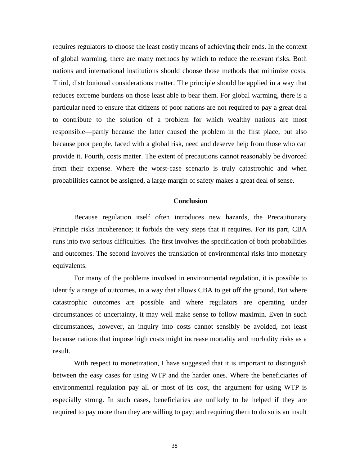requires regulators to choose the least costly means of achieving their ends. In the context of global warming, there are many methods by which to reduce the relevant risks. Both nations and international institutions should choose those methods that minimize costs. Third, distributional considerations matter. The principle should be applied in a way that reduces extreme burdens on those least able to bear them. For global warming, there is a particular need to ensure that citizens of poor nations are not required to pay a great deal to contribute to the solution of a problem for which wealthy nations are most responsible—partly because the latter caused the problem in the first place, but also because poor people, faced with a global risk, need and deserve help from those who can provide it. Fourth, costs matter. The extent of precautions cannot reasonably be divorced from their expense. Where the worst-case scenario is truly catastrophic and when probabilities cannot be assigned, a large margin of safety makes a great deal of sense.

#### **Conclusion**

Because regulation itself often introduces new hazards, the Precautionary Principle risks incoherence; it forbids the very steps that it requires. For its part, CBA runs into two serious difficulties. The first involves the specification of both probabilities and outcomes. The second involves the translation of environmental risks into monetary equivalents.

because nations that impose high costs might increase mortality and morbidity risks as a result. For many of the problems involved in environmental regulation, it is possible to identify a range of outcomes, in a way that allows CBA to get off the ground. But where catastrophic outcomes are possible and where regulators are operating under circumstances of uncertainty, it may well make sense to follow maximin. Even in such circumstances, however, an inquiry into costs cannot sensibly be avoided, not least

especially strong. In such cases, beneficiaries are unlikely to be helped if they are With respect to monetization, I have suggested that it is important to distinguish between the easy cases for using WTP and the harder ones. Where the beneficiaries of environmental regulation pay all or most of its cost, the argument for using WTP is required to pay more than they are willing to pay; and requiring them to do so is an insult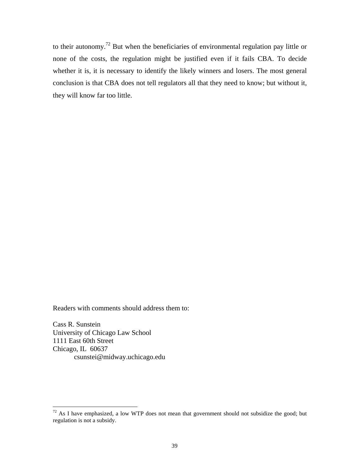to their autonomy.<sup>72</sup> But when the beneficiaries of environmental regulation pay little or none of the costs, the regulation might be justified even if it fails CBA. To decide whether it is, it is necessary to identify the likely winners and losers. The most general conclusion is that CBA does not tell regulators all that they need to know; but without it, they will know far too little.

Readers with comments should address them to:

Chicago, IL 60637 csunstei@midway.uchicago.edu Cass R. Sunstein University of Chicago Law School 1111 East 60th Street

<span id="page-40-0"></span> $72$  As I have emphasized, a low WTP does not mean that government should not subsidize the good; but regulation is not a subsidy.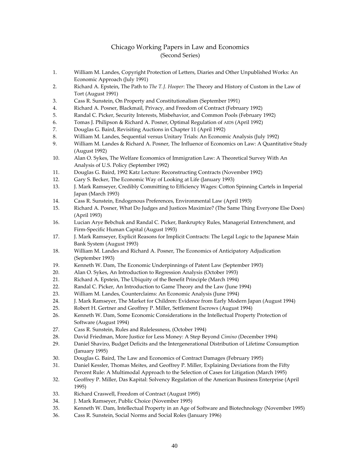#### Chicago Working Papers in Law and Economics (Second Series)

- 1. William M. Landes, Copyright Protection of Letters, Diaries and Other Unpublished Works: An Economic Approach (July 1991)
- 2. Richard A. Epstein, The Path to *The T. J. Hooper*: The Theory and History of Custom in the Law of Tort (August 1991)
- 3. Cass R. Sunstein, On Property and Constitutionalism (September 1991)
- 4. Richard A. Posner, Blackmail, Privacy, and Freedom of Contract (February 1992)
- . Randal C. Picker, Security Interests, Misbehavior, and Common Pools (February 1992) 5
- . Tomas J. Philipson & Richard A. Posner, Optimal Regulation of AIDS (April 1992) 6
- . Douglas G. Baird, Revisiting Auctions in Chapter 11 (April 1992) 7
- . William M. Landes, Sequential versus Unitary Trials: An Economic Analysis (July 1992) 8
- . William M. Landes & Richard A. Posner, The Influence of Economics on Law: A Quantitative Study (August 1992) 9.
- 0. Alan O. Sykes, The Welfare Economics of Immigration Law: A Theoretical Survey With An Analysis of U.S. Policy (September 1992) 10.
- 1. Douglas G. Baird, 1992 Katz Lecture: Reconstructing Contracts (November 1992) 11.
- 2. Gary S. Becker, The Economic Way of Looking at Life (January 1993)  $12<sub>1</sub>$
- 3. J. Mark Ramseyer, Credibly Committing to Efficiency Wages: Cotton Spinning Cartels in Imperial Japan (March 1993) 13.
- 4. Cass R. Sunstein, Endogenous Preferences, Environmental Law (April 1993)  $14.$
- 5. Richard A. Posner, What Do Judges and Justices Maximize? (The Same Thing Everyone Else Does) (April 1993) 15.
- Lucian Arye Bebchuk and Randal C. Picker, Bankruptcy Rules, Managerial Entrenchment, and Firm-Specific Human Capital (August 1993) 16.
- 7. J. Mark Ramseyer, Explicit Reasons for Implicit Contracts: The Legal Logic to the Japanese Main Bank System (August 1993)  $17.$
- William M. Landes and Richard A. Posner, The Economics of Anticipatory Adjudication (September 1993) 18.
- 9. Kenneth W. Dam, The Economic Underpinnings of Patent Law (September 1993) 19.
- 0. Alan O. Sykes, An Introduction to Regression Analysis (October 1993)  $20.$
- 1. Richard A. Epstein, The Ubiquity of the Benefit Principle (March 1994) 21.
- 2. Randal C. Picker, An Introduction to Game Theory and the Law (June 1994)  $22.$
- 3. William M. Landes, Counterclaims: An Economic Analysis (June 1994) 23.
- 4. J. Mark Ramseyer, The Market for Children: Evidence from Early Modern Japan (August 1994) 24.
- 25. Robert H. Gertner and Geoffrey P. Miller, Settlement Escrows (August 1994)
- . Kenneth W. Dam, Some Economic Considerations in the Intellectual Property Protection of Software (August 1994) 26
- 27. Cass R. Sunstein, Rules and Rulelessness, (October 1994)
- 28. David Friedman, More Justice for Less Money: A Step Beyond *Cimino* (December 1994)
- 29. Daniel Shaviro, Budget Deficits and the Intergenerational Distribution of Lifetime Consumption (January 1995)
- 30. Douglas G. Baird, The Law and Economics of Contract Damages (February 1995)
- 31. Daniel Kessler, Thomas Meites, and Geoffrey P. Miller, Explaining Deviations from the Fifty Percent Rule: A Multimodal Approach to the Selection of Cases for Litigation (March 1995)
- 2. Geoffrey P. Miller, Das Kapital: Solvency Regulation of the American Business Enterprise (April 1995) 32.
- 33. Richard Craswell, Freedom of Contract (August 1995)
- 34. J. Mark Ramseyer, Public Choice (November 1995)
- Kenneth W. Dam, Intellectual Property in an Age of Software and Biotechnology (November 1995) 35.
- 36. Cass R. Sunstein, Social Norms and Social Roles (January 1996)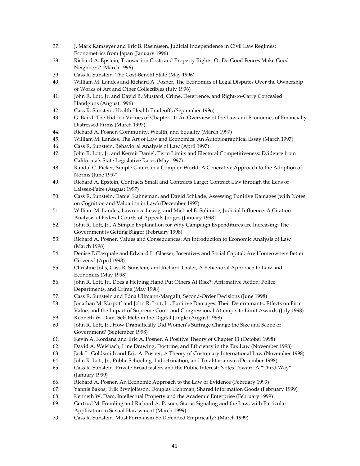- 37. J. Mark Ramseyer and Eric B. Rasmusen, Judicial Independence in Civil Law Regimes: Econometrics from Japan (January 1 996)
- 38. Richard A. Epstein, Transaction Costs and Property Rights: Or Do Good Fences Make Good Neighbors? (March 1996)
- 39. Cass R. Sunstein, The Cost-Benefit State (May 1996)
- 40. William M. Landes and Richard A. Posner, The Economics of Legal Disputes Over the Ownership of Works of Art and Other Collectibles (July 1996)
- 41. John R. Lott, Jr. and David B. Mustard, Crime, Deterrence, and Right-to-Carry Concealed Handguns (August 1996)
- 42. Cass R. Sunstein, Health-Health Tradeoffs (September 1996)
- 43. G. Baird, The Hidden Virtues of Chapter 11: An Overview of the Law and Economics of Financially Distressed Firms (March 1997)
- 44. Richard A. Posner, Community, Wealth, and Equality (March 1997)
- 45. William M. Landes, The Art of Law and Economics: An Autobiographical Essay (March 1997)
- 46. Cass R. Sunstein, Behavioral Analysis of Law (April 1997)
- 47. John R. Lott, Jr. and Kermit Daniel, Term Limits and Electoral Competitiveness: Evidence from California's State Legislative Races (May 1997)
- 48. Randal C. Picker, Simple Games in a Complex World: A Generative Approach to the Adoption of Norms (June 1997)
- 49. Richard A. Epstein, Contracts Small and Contracts Large: Contract Law through the Lens of Laissez-Faire (August 1997)
- 50. Cass R. Sunstein, Daniel Kahneman, and David Schkade, Assessing Punitive Damages (with Notes on Cognition and Valuation in Law) (December 1997)
- 51. William M. Landes, Lawrence Lessig, and Michael E. Solimine, Judicial Influence: A Citation Analysis of Federal Courts of Appeals Judges (January 1998)
- 52. John R. Lott, Jr., A Simple Explanation for Why Campaign Expenditures are Increasing: The Government is Getting Bigger (February 1998)
- 53. Richard A. Posner, Values and Consequences: An Introduction to Economic Analysis of Law (March 1998)
- 54. Denise DiPasquale and Edward L. Glaeser, Incentives and Social Capital: Are Homeowners Better Citizens? (April 1998)
- 55. Christine Jolls, Cass R. Sunstein, and Richard Thaler, A Behavioral Approach to Law and Economics (May 1998)
- 56. John R. Lott, Jr., Does a Helping Hand Put Others At Risk?: Affirmative Action, Police Departments, and Crime (May 1998)
- 57. Cass R. Sunstein and Edna Ullmann-Margalit, Second-Order Decisions (June 1998)
- 1998) Value, and the Impact of Supreme Court and Congressional Attempts to Limit Awards (July 58. Jonathan M. Karpoff and John R. Lott, Jr., Punitive Damages: Their Determinants, Effects on Firm
- 59. Kenneth W. Dam, Self-Help in the Digital Jungle (August 1998)
- 60. John R. Lott, Jr., How Dramatically Did Women's Suffrage Change the Size and Scope of Government? (September 1998)
- 61. Kevin A. Kordana and Eric A. Posner, A Positive Theory of Chapter 11 (October 1998)
- 62. David A. Weisbach, Line Drawing, Doctrine, and Efficiency in the Tax Law (November 1998)
- 63. Jack L. Goldsmith and Eric A. Posner, A Theory of Customary International Law (November 1998)
- 64. John R. Lott, Jr., Public Schooling, Indoctrination, and Totalitarianism (December 1998)
- 65. Cass R. Sunstein, Private Broadcasters and the Public Interest: Notes Toward A "Third Way" (January 1999)
- 66. Richard A. Posner, An Economic Approach to the Law of Evidence (February 1999)
- 67. Yannis Bakos, Erik Brynjolfsson, Douglas Lichtman, Shared Information Goods (February 1999)
- 68. Kenneth W. Dam, Intellectual Property and the Academic Enterprise (February 1999)
- 69. Gertrud M. Fremling and Richard A. Posner, Status Signaling and the Law, with Particular Application to Sexual Harassment (March 1999)
- 70. Cass R. Sunstein, Must Formalism Be Defended Empirically? (March 1999)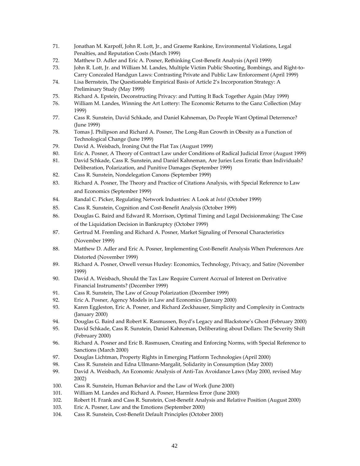- 71. Jonathan M. Karpoff, John R. Lott, Jr., and Graeme Rankine, Environmental Violations, Legal Penalties, and Reputation Costs (March 1 999)
- 72. Matthew D. Adler and Eric A. Posner, Rethinking Cost-Benefit Analysis (April 1999)
- 73. John R. Lott, Jr. and William M. Landes, Multiple Victim Public Shooting, Bombings, and Right-to-Carry Concealed Handgun Laws: Contrasting Private and Public Law Enforcement (April 1999)
- 74. Lisa Bernstein, The Questionable Empirical Basis of Article 2's Incorporation Strategy: A Preliminary Study (May 1999)
- 9) 75. Richard A. Epstein, Deconstructing Privacy: and Putting It Back Together Again (May 199
- 76. William M. Landes, Winning the Art Lottery: The Economic Returns to the Ganz Collection (May 1999)
- 77. Cass R. Sunstein, David Schkade, and Daniel Kahneman, Do People Want Optimal Deterrence? (June 1999)
- 78. Tomas J. Philipson and Richard A. Posner, The Long-Run Growth in Obesity as a Function of Technological Change (June 1999)
- 79. David A. Weisbach, Ironing Out the Flat Tax (August 1999)
- 99) 80. Eric A. Posner, A Theory of Contract Law under Conditions of Radical Judicial Error (August 19
- 81. David Schkade, Cass R. Sunstein, and Daniel Kahneman, Are Juries Less Erratic than Individuals? Deliberation, Polarization, and Punitive Damages (September 1999)
- 82. Cass R. Sunstein, Nondelegation Canons (September 1999)
- 83. Richard A. Posner, The Theory and Practice of Citations Analysis, with Special Reference to Law and Economics (September 1999)
- 84. Randal C. Picker, Regulating Network Industries: A Look at *Intel* (October 1999)
- 85. Cass R. Sunstein, Cognition and Cost-Benefit Analysis (October 1999)
- 86. Douglas G. Baird and Edward R. Morrison, Optimal Timing and Legal Decisionmaking: The Case of the Liquidation Decision in Bankruptcy (October 1999)
- 87. Gertrud M. Fremling and Richard A. Posner, Market Signaling of Personal Characteristics (November 1999)
- 88. Matthew D. Adler and Eric A. Posner, Implementing Cost-Benefit Analysis When Preferences Are Distorted (November 1999)
- 89. Richard A. Posner, Orwell versus Huxley: Economics, Technology, Privacy, and Satire (November 1999)
- 90. David A. Weisbach, Should the Tax Law Require Current Accrual of Interest on Derivative Financial Instruments? (December 1999)
- 91. Cass R. Sunstein, The Law of Group Polarization (December 1999)
- 92. Eric A. Posner, Agency Models in Law and Economics (January 2000)
- 93. Karen Eggleston, Eric A. Posner, and Richard Zeckhauser, Simplicity and Complexity in Contracts (January 2000)
- 94. Douglas G. Baird and Robert K. Rasmussen, Boyd's Legacy and Blackstone's Ghost (February 2000)
- 95. David Schkade, Cass R. Sunstein, Daniel Kahneman, Deliberating about Dollars: The Severity Shift (February 2000)
- 96. Richard A. Posner and Eric B. Rasmusen, Creating and Enforcing Norms, with Special Reference to Sanctions (March 2000)
- 97. Douglas Lichtman, Property Rights in Emerging Platform Technologies (April 2000)
- 98. Cass R. Sunstein and Edna Ullmann-Margalit, Solidarity in Consumption (May 2000)
- 99. David A. Weisbach, An Economic Analysis of Anti-Tax Avoidance Laws (May 2000, revised May 2002)
- 100. Cass R. Sunstein, Human Behavior and the Law of Work (June 2000)
- 101. William M. Landes and Richard A. Posner, Harmless Error (June 2000)
- 000) 102. Robert H. Frank and Cass R. Sunstein, Cost-Benefit Analysis and Relative Position (August 2
- 103. Eric A. Posner, Law and the Emotions (September 2000)
- 104. Cass R. Sunstein, Cost-Benefit Default Principles (October 2000)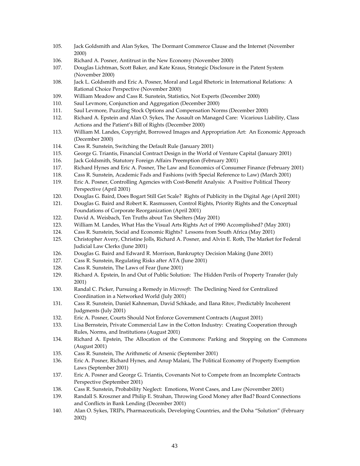- 105. Jack Goldsmith and Alan Sykes, The Dormant Commerce Clause and the Internet (November 2000)
- 106. Richard A. Posner, Antitrust in the New Economy (November 2000)
- 107. Douglas Lichtman, Scott Baker, and Kate Kraus, Strategic Disclosure in the Patent System (November 2000)
- 108. Jack L. Goldsmith and Eric A. Posner, Moral and Legal Rhetoric in International Relations: A Rational Choice Perspective (November 2000)
- 109. William Meadow and Cass R. Sunstein, Statistics, Not Experts (December 2000)
- 110. Saul Levmore, Conjunction and Aggregation (December 2000)
- 111. Saul Levmore, Puzzling Stock Options and Compensation Norms (December 2000)
- Actions and the Patient's Bill of Rights (December 2000) 112. Richard A. Epstein and Alan O. Sykes, The Assault on Managed Care: Vicarious Liability, Class
- 113. William M. Landes, Copyright, Borrowed Images and Appropriation Art: An Economic Approach (December 2000)
- 114. Cass R. Sunstein, Switching the Default Rule (January 2001)
- 115. George G. Triantis, Financial Contract Design in the World of Venture Capital (January 2001)
- 116. Jack Goldsmith, Statutory Foreign Affairs Preemption (February 2001)
- 117. Richard Hynes and Eric A. Posner, The Law and Economics of Consumer Finance (February 2001)
- 118. Cass R. Sunstein, Academic Fads and Fashions (with Special Reference to Law) (March 2001)
- 119. Eric A. Posner, Controlling Agencies with Cost-Benefit Analysis: A Positive Political Theory Perspective (April 2001)
- 120. Douglas G. Baird, Does Bogart Still Get Scale? Rights of Publicity in the Digital Age (April 2001)
- 121. Douglas G. Baird and Robert K. Rasmussen, Control Rights, Priority Rights and the Conceptual Foundations of Corporate Reorganization (April 2001)
- 122. David A. Weisbach, Ten Truths about Tax Shelters (May 2001)
- 123. William M. Landes, What Has the Visual Arts Rights Act of 1990 Accomplished? (May 2001)
- 124. Cass R. Sunstein, Social and Economic Rights? Lessons from South Africa (May 2001)
- 125. Christopher Avery, Christine Jolls, Richard A. Posner, and Alvin E. Roth, The Market for Federal  $\,$ Judicial Law Clerks (June 2001)
- 126. Douglas G. Baird and Edward R. Morrison, Bankruptcy Decision Making (June 2001)
- 127. Cass R. Sunstein, Regulating Risks after ATA (June 2001)
- 128. Cass R. Sunstein, The Laws of Fear (June 2001)
- 129. Richard A. Epstein, In and Out of Public Solution: The Hidden Perils of Property Transfer (July 2001)
- 130. Randal C. Picker, Pursuing a Remedy in *Microsoft*: The Declining Need for Centralized Coordination in a Networked World (July 2001)
- 131. Cass R. Sunstein, Daniel Kahneman, David Schkade, and Ilana Ritov, Predictably Incoherent Judgments (July 2001)
- 132. Eric A. Posner, Courts Should Not Enforce Government Contracts (August 2001)
- 133. Lisa Bernstein, Private Commercial Law in the Cotton Industry: Creating Cooperation through Rules, Norms, and Institutions (August 2001)
- 134. Richard A. Epstein, The Allocation of the Commons: Parking and Stopping on the Commons (August 2001)
- 135. Cass R. Sunstein, The Arithmetic of Arsenic (September 2001)
- 136. Eric A. Posner, Richard Hynes, and Anup Malani, The Political Economy of Property Exemption Laws (September 2001)
- 137. Eric A. Posner and George G. Triantis, Covenants Not to Compete from an Incomplete Contracts Perspective (September 2001)
- (November 2001) 138. Cass R. Sunstein, Probability Neglect: Emotions, Worst Cases, and Law
- 139. Randall S. Kroszner and Philip E. Strahan, Throwing Good Money after Bad? Board Connections and Conflicts in Bank Lending (December 2001)
- 140. Alan O. Sykes, TRIPs, Pharmaceuticals, Developing Countries, and the Doha "Solution" (February 2002)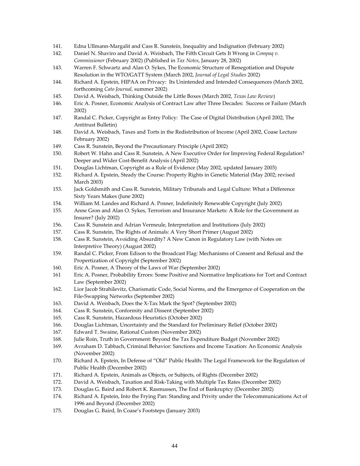- 141. Edna Ullmann-Margalit and Cass R. Sunstein, Inequality and Indignation (February 2002)
- 142. Daniel N. Shaviro and David A. Weisbach, The Fifth Circuit Gets It Wrong in *Compaq v.*  2) *Commissioner* (February 2002) (Published in *Tax Notes*, January 28, 200
- 143. Warren F. Schwartz and Alan O. Sykes, The Economic Structure of Renegotiation and Dispute Resolution in the WTO/GATT System (March 2002*, Journal of Legal Studies* 2002)
- 144. Richard A. Epstein, HIPAA on Privacy: Its Unintended and Intended Consequences (March 2002, forthcoming *Cato Journal*, summer 2002)
- *view*) 145. David A. Weisbach, Thinking Outside the Little Boxes (March 2002, *Texas Law Re*
- 146. Eric A. Posner, Economic Analysis of Contract Law after Three Decades: Success or Failure (March 2002)
- 147. Randal C. Picker, Copyright as Entry Policy: The Case of Digital Distribution (April 2002, The Antitrust Bulletin)
- 148. David A. Weisbach, Taxes and Torts in the Redistribution of Income (April 2002, Coase Lecture February 2002)
- 149. Cass R. Sunstein, Beyond the Precautionary Principle (April 2002)
- 150. Robert W. Hahn and Cass R. Sunstein, A New Executive Order for Improving Federal Regulation? Deeper and Wider Cost-Benefit Analysis (April 2002)
- 151. Douglas Lichtman, Copyright as a Rule of Evidence (May 2002, updated January 2003)
- 152. Richard A. Epstein, Steady the Course: Property Rights in Genetic Material (May 2002; revised March 2003)
- 153. Jack Goldsmith and Cass R. Sunstein, Military Tribunals and Legal Culture: What a Difference Sixty Years Makes (June 2002)
- 154. William M. Landes and Richard A. Posner, Indefinitely Renewable Copyright (July 2002)
- 155. Anne Gron and Alan O. Sykes, Terrorism and Insurance Markets: A Role for the Government as Insurer? (July 2002)
- 156. Cass R. Sunstein and Adrian Vermeule, Interpretation and Institutions (July 2002)
- 157. Cass R. Sunstein, The Rights of Animals: A Very Short Primer (August 2002)
- 2) Interpretive Theory) (August 200 158. Cass R. Sunstein, Avoiding Absurdity? A New Canon in Regulatory Law (with Notes on
- 159. Randal C. Picker, From Edison to the Broadcast Flag: Mechanisms of Consent and Refusal and the Propertization of Copyright (September 2002)
- 160. Eric A. Posner, A Theory of the Laws of War (September 2002)
- 161 Eric A. Posner, Probability Errors: Some Positive and Normative Implications for Tort and Contract Law (September 2002)
- 162. Lior Jacob Strahilevitz, Charismatic Code, Social Norms, and the Emergence of Cooperation on the File-Swapping Networks (September 2002)
- 163. David A. Weisbach, Does the X-Tax Mark the Spot? (September 2002)
- 164. Cass R. Sunstein, Conformity and Dissent (September 2002)
- 165. Cass R. Sunstein, Hazardous Heuristics (October 2002)
- 166. Douglas Lichtman, Uncertainty and the Standard for Preliminary Relief (October 2002)
- 167. Edward T. Swaine, Rational Custom (November 2002)
- 168. Julie Roin, Truth in Government: Beyond the Tax Expenditure Budget (November 2002)
- 169. bbach, Criminal Behavior: Sanctions and Income Taxation: An Economic Analysis Avraham D. Ta (November 2002)
- 170. Richard A. Epstein, In Defense of "Old" Public Health: The Legal Framework for the Regulation of Public Health (December 2002)
- 171. Richard A. Epstein, Animals as Objects, or Subjects, of Rights (December 2002)
- 172. David A. Weisbach, Taxation and Risk-Taking with Multiple Tax Rates (December 2002)
- 173. Douglas G. Baird and Robert K. Rasmussen, The End of Bankruptcy (December 2002)
- 174. Richard A. Epstein, Into the Frying Pan: Standing and Privity under the Telecommunications Act of 1996 and Beyond (December 2002)
- 175. Douglas G. Baird, In Coase's Footsteps (January 2003)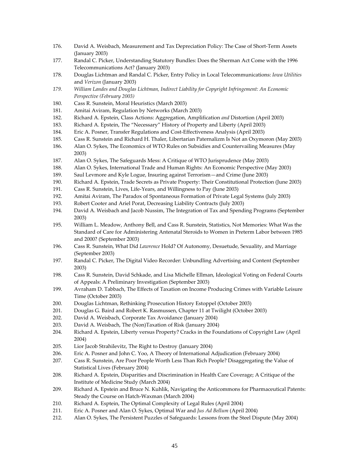- 176. David A. Weisbach, Measurement and Tax Depreciation Policy: The Case of Short-Term Assets (January 2003)
- 177. Randal C. Picker, Understanding Statutory Bundles: Does the Sherman Act Come with the 1996 Telecommunications Act? (January 2003)
- 178. Douglas Lichtman and Randal C. Picker, Entry Policy in Local Telecommunications: *Iowa Utilities* and *Verizon* (January 2003)
- *179. rect Liability for Copyright Infringement: An Economic William Landes and Douglas Lichtman, Indi Perspective (February 2003)*
- 180. Cass R. Sunstein, Moral Heuristics (March 2003)
- 181. Amitai Aviram, Regulation by Networks (March 2003)
- 182. Richard A. Epstein, Class Actions: Aggregation, Amplification *and* Distortion (April 2003)
- 183. The "Necessary" History of Property and Liberty (April 2003) Richard A. Epstein,
- 184. Eric A. Posner, Transfer Regulations and Cost-Effectiveness Analysis (April 2003)
- 185. Cass R. Sunstein and Richard H. Thaler, Libertarian Paternalizm Is Not an Oxymoron (May 2003)
- 186. Alan O. Sykes, The Economics of WTO Rules on Subsidies and Countervailing Measures (May 2003)
- 187. Alan O. Sykes, The Safeguards Mess: A Critique of WTO Jurisprudence (May 2003)
- 188. Alan O. Sykes, International Trade and Human Rights: An Economic Perspective (May 2003)
- 189. Saul Levmore and Kyle Logue, Insuring against Terrorism—and Crime (June 2003)
- 190. Richard A. Epstein, Trade Secrets as Private Property: Their Constitutional Protection (June 2003)
- 191. Cass R. Sunstein, Lives, Life-Years, and Willingness to Pay (June 2003)
- 192. Amitai Aviram, The Paradox of Spontaneous Formation of Private Legal Systems (July 2003)
- 193. Robert Cooter and Ariel Porat, Decreasing Liability Contracts (July 2003)
- 194. David A. Weisbach and Jacob Nussim, The Integration of Tax and Spending Programs (September 2003)
- 195. William L. Meadow, Anthony Bell, and Cass R. Sunstein, Statistics, Not Memories: What Was the Standard of Care for Administering Antenatal Steroids to Women in Preterm Labor between 1985 and 2000? (September 2003)
- 196. Cass R. Sunstein, What Did *Lawrence* Hold? Of Autonomy, Desuetude, Sexuality, and Marriage (September 2003)
- 197. Randal C. Picker, The Digital Video Recorder: Unbundling Advertising and Content (September 2003)
- of Appeals: A Preliminary Investigation (September 2003) 198. Cass R. Sunstein, David Schkade, and Lisa Michelle Ellman, Ideological Voting on Federal Courts
- 199. Avraham D. Tabbach, The Effects of Taxation on Income Producing Crimes with Variable Leisure Time (October 2003)
- 200. Douglas Lichtman, Rethinking Prosecution History Estoppel (October 2003)
- 201. Douglas G. Baird and Robert K. Rasmussen, Chapter 11 at Twilight (October 2003)
- 202. David A. Weisbach, Corporate Tax Avoidance (January 2004)
- 203. David A. Weisbach, The (Non)Taxation of Risk (January 2004)
- 204. Richard A. Epstein, Liberty versus Property? Cracks in the Foundations of Copyright Law (April 2004)
- 205. Lior Jacob Strahilevitz, The Right to Destroy (January 2004)
- 206. Eric A. Posner and John C. Yoo, A Theory of International Adjudication (February 2004)
- 207. Cass R. Sunstein, Are Poor People Worth Less Than Rich People? Disaggregating the Value of Statistical Lives (February 2004)
- 208. Richard A. Epstein, Disparities and Discrimination in Health Care Coverage; A Critique of the Institute of Medicine Study (March 2004)
- 209. Richard A. Epstein and Bruce N. Kuhlik, Navigating the Anticommons for Pharmaceutical Patents: Steady the Course on Hatch-Waxman (March 2004)
- 210. Richard A. Esptein, The Optimal Complexity of Legal Rules (April 2004)
- *Ad Bellum* (April 2004) 211. Eric A. Posner and Alan O. Sykes, Optimal War and *Jus*
- 212. Alan O. Sykes, The Persistent Puzzles of Safeguards: Lessons from the Steel Dispute (May 2004)